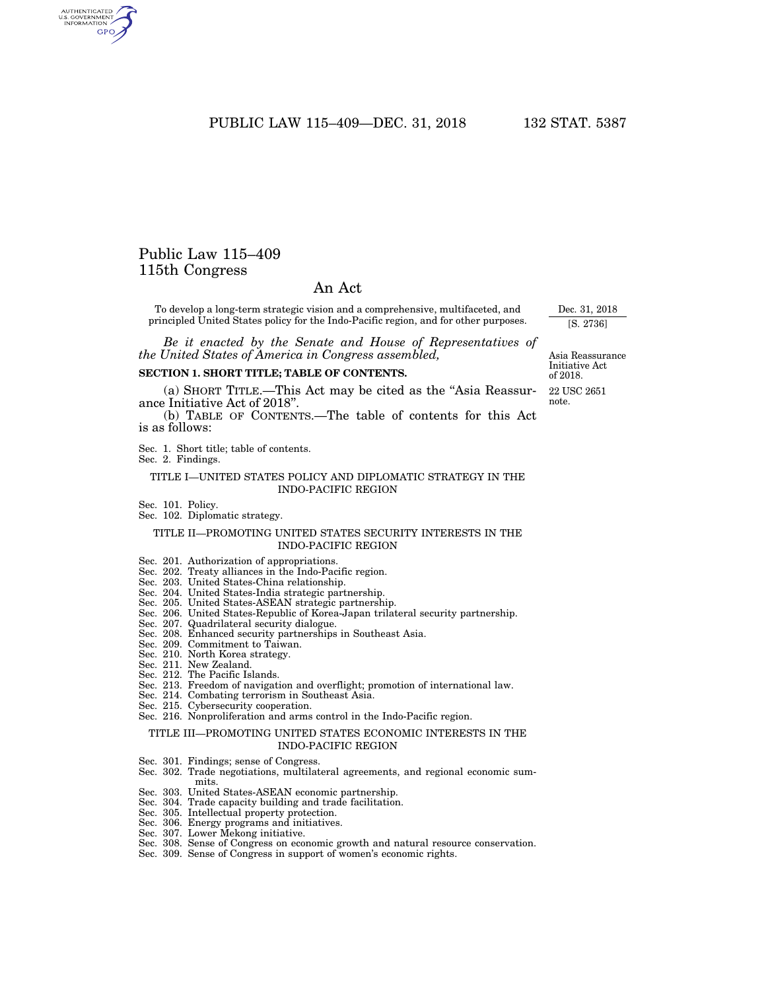# PUBLIC LAW 115-409-DEC. 31, 2018 132 STAT. 5387

# Public Law 115–409 115th Congress

AUTHENTICATED<br>U.S. GOVERNMENT<br>INFORMATION **GPO** 

# An Act

To develop a long-term strategic vision and a comprehensive, multifaceted, and principled United States policy for the Indo-Pacific region, and for other purposes.

*Be it enacted by the Senate and House of Representatives of the United States of America in Congress assembled,* 

## **SECTION 1. SHORT TITLE; TABLE OF CONTENTS.**

(a) SHORT TITLE.—This Act may be cited as the ''Asia Reassurance Initiative Act of 2018''.

(b) TABLE OF CONTENTS.—The table of contents for this Act is as follows:

Sec. 1. Short title; table of contents.

Sec. 2. Findings.

### TITLE I—UNITED STATES POLICY AND DIPLOMATIC STRATEGY IN THE INDO-PACIFIC REGION

- Sec. 101. Policy.
- Sec. 102. Diplomatic strategy.

### TITLE II—PROMOTING UNITED STATES SECURITY INTERESTS IN THE INDO-PACIFIC REGION

Sec. 201. Authorization of appropriations.

- Sec. 202. Treaty alliances in the Indo-Pacific region.
- Sec. 203. United States-China relationship.
- Sec. 204. United States-India strategic partnership.
- Sec. 205. United States-ASEAN strategic partnership.
- Sec. 206. United States-Republic of Korea-Japan trilateral security partnership.
- Sec. 207. Quadrilateral security dialogue.
- Sec. 208. Enhanced security partnerships in Southeast Asia.
- Sec. 209. Commitment to Taiwan.
- Sec. 210. North Korea strategy.
- Sec. 211. New Zealand.
- Sec. 212. The Pacific Islands.
- Sec. 213. Freedom of navigation and overflight; promotion of international law.
- Sec. 214. Combating terrorism in Southeast Asia.
- Sec. 215. Cybersecurity cooperation.
- Sec. 216. Nonproliferation and arms control in the Indo-Pacific region.

#### TITLE III—PROMOTING UNITED STATES ECONOMIC INTERESTS IN THE INDO-PACIFIC REGION

- Sec. 301. Findings; sense of Congress.
- Sec. 302. Trade negotiations, multilateral agreements, and regional economic summits.
- Sec. 303. United States-ASEAN economic partnership.
- Sec. 304. Trade capacity building and trade facilitation.
- Sec. 305. Intellectual property protection.
- Sec. 306. Energy programs and initiatives.
- Sec. 307. Lower Mekong initiative.
- Sec. 308. Sense of Congress on economic growth and natural resource conservation.
- Sec. 309. Sense of Congress in support of women's economic rights.

22 USC 2651 note. Asia Reassurance Initiative Act of 2018.

Dec. 31, 2018 [S. 2736]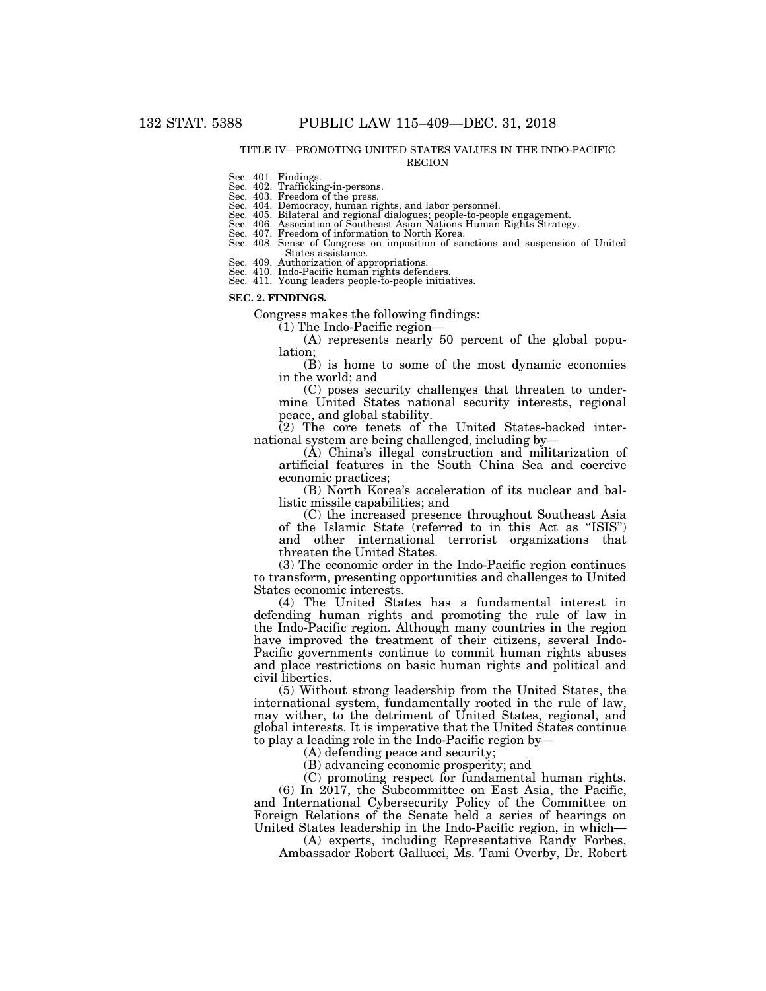#### TITLE IV—PROMOTING UNITED STATES VALUES IN THE INDO-PACIFIC REGION

Sec. 401. Findings.

#### Sec. 402. Trafficking-in-persons. Sec. 403. Freedom of the press.

Sec. 404. Democracy, human rights, and labor personnel.<br>Sec. 405. Bilateral and regional dialogues; people-to-people engagement.<br>Sec. 406. Association of Southeast Asian Nations Human Rights Strategy.<br>Sec. 407. Freedom of

Sec. 408. Sense of Congress on imposition of sanctions and suspension of United States assistance.

Sec. 409. Authorization of appropriations.

Sec. 410. Indo-Pacific human rights defenders.<br>Sec. 411. Young leaders people-to-people initiatives.

#### **SEC. 2. FINDINGS.**

Congress makes the following findings:

(1) The Indo-Pacific region—

(A) represents nearly 50 percent of the global population;

(B) is home to some of the most dynamic economies in the world; and

(C) poses security challenges that threaten to undermine United States national security interests, regional peace, and global stability.

(2) The core tenets of the United States-backed international system are being challenged, including by—

(A) China's illegal construction and militarization of artificial features in the South China Sea and coercive economic practices;

(B) North Korea's acceleration of its nuclear and ballistic missile capabilities; and

(C) the increased presence throughout Southeast Asia of the Islamic State (referred to in this Act as ''ISIS'') and other international terrorist organizations that threaten the United States.

(3) The economic order in the Indo-Pacific region continues to transform, presenting opportunities and challenges to United States economic interests.

(4) The United States has a fundamental interest in defending human rights and promoting the rule of law in the Indo-Pacific region. Although many countries in the region have improved the treatment of their citizens, several Indo-Pacific governments continue to commit human rights abuses and place restrictions on basic human rights and political and civil liberties.

(5) Without strong leadership from the United States, the international system, fundamentally rooted in the rule of law, may wither, to the detriment of United States, regional, and global interests. It is imperative that the United States continue to play a leading role in the Indo-Pacific region by—

(A) defending peace and security;

(B) advancing economic prosperity; and

(C) promoting respect for fundamental human rights. (6) In 2017, the Subcommittee on East Asia, the Pacific, and International Cybersecurity Policy of the Committee on Foreign Relations of the Senate held a series of hearings on

United States leadership in the Indo-Pacific region, in which— (A) experts, including Representative Randy Forbes,

Ambassador Robert Gallucci, Ms. Tami Overby, Dr. Robert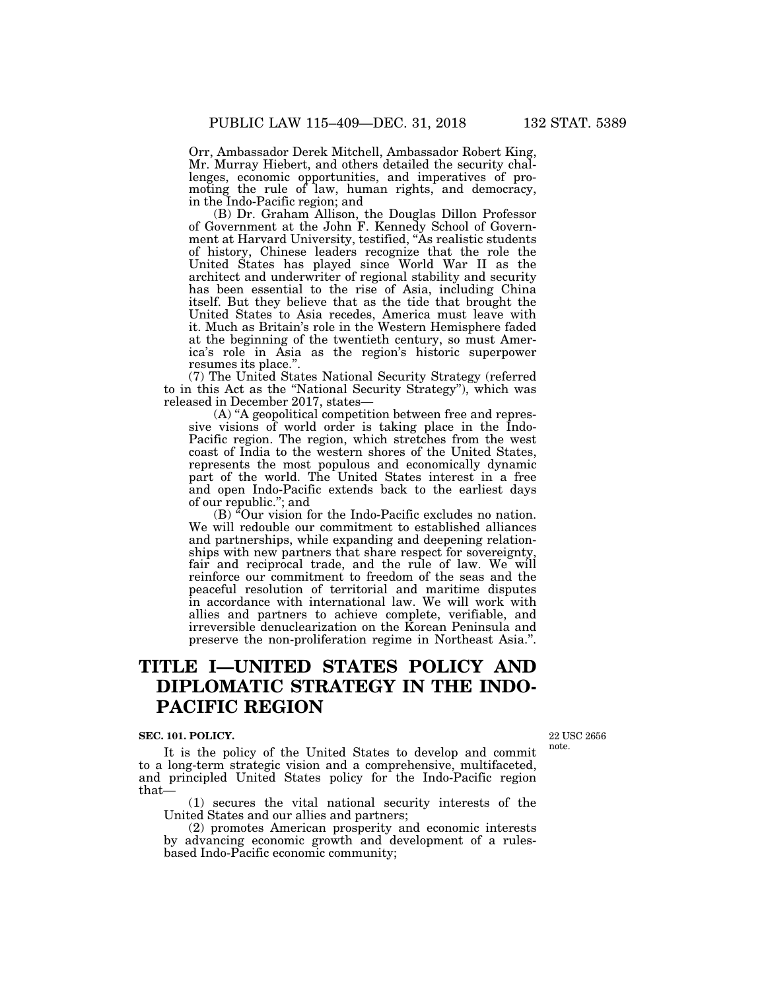Orr, Ambassador Derek Mitchell, Ambassador Robert King, Mr. Murray Hiebert, and others detailed the security challenges, economic opportunities, and imperatives of promoting the rule of law, human rights, and democracy, in the Indo-Pacific region; and

(B) Dr. Graham Allison, the Douglas Dillon Professor of Government at the John F. Kennedy School of Government at Harvard University, testified, ''As realistic students of history, Chinese leaders recognize that the role the United States has played since World War II as the architect and underwriter of regional stability and security has been essential to the rise of Asia, including China itself. But they believe that as the tide that brought the United States to Asia recedes, America must leave with it. Much as Britain's role in the Western Hemisphere faded at the beginning of the twentieth century, so must America's role in Asia as the region's historic superpower resumes its place.''.

(7) The United States National Security Strategy (referred to in this Act as the ''National Security Strategy''), which was released in December 2017, states—

(A) ''A geopolitical competition between free and repressive visions of world order is taking place in the Indo-Pacific region. The region, which stretches from the west coast of India to the western shores of the United States, represents the most populous and economically dynamic part of the world. The United States interest in a free and open Indo-Pacific extends back to the earliest days of our republic.''; and

(B) <sup>"</sup>Our vision for the Indo-Pacific excludes no nation. We will redouble our commitment to established alliances and partnerships, while expanding and deepening relationships with new partners that share respect for sovereignty, fair and reciprocal trade, and the rule of law. We will reinforce our commitment to freedom of the seas and the peaceful resolution of territorial and maritime disputes in accordance with international law. We will work with allies and partners to achieve complete, verifiable, and irreversible denuclearization on the Korean Peninsula and preserve the non-proliferation regime in Northeast Asia.''.

# **TITLE I—UNITED STATES POLICY AND DIPLOMATIC STRATEGY IN THE INDO-PACIFIC REGION**

#### **SEC. 101. POLICY.**

It is the policy of the United States to develop and commit to a long-term strategic vision and a comprehensive, multifaceted, and principled United States policy for the Indo-Pacific region that—

(1) secures the vital national security interests of the United States and our allies and partners;

(2) promotes American prosperity and economic interests by advancing economic growth and development of a rulesbased Indo-Pacific economic community;

22 USC 2656 note.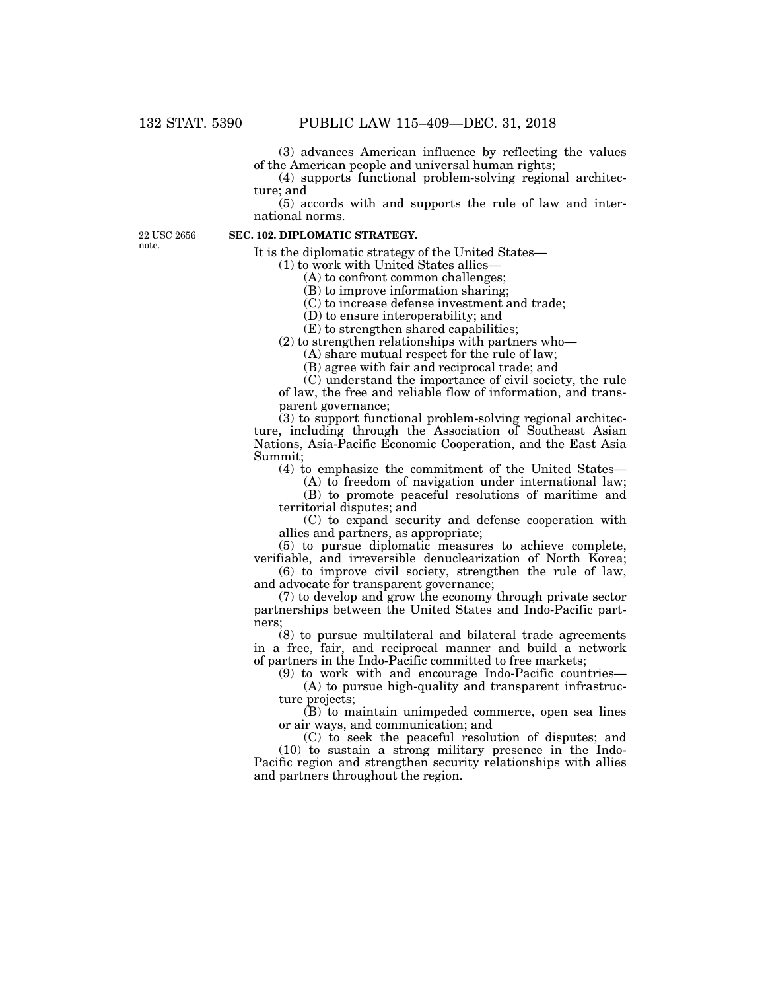(3) advances American influence by reflecting the values of the American people and universal human rights;

(4) supports functional problem-solving regional architecture; and

(5) accords with and supports the rule of law and international norms.

22 USC 2656 note.

# **SEC. 102. DIPLOMATIC STRATEGY.**

It is the diplomatic strategy of the United States—

(1) to work with United States allies—

(A) to confront common challenges;

(B) to improve information sharing;

(C) to increase defense investment and trade;

(D) to ensure interoperability; and

(E) to strengthen shared capabilities;

(2) to strengthen relationships with partners who—

(A) share mutual respect for the rule of law;

(B) agree with fair and reciprocal trade; and

(C) understand the importance of civil society, the rule of law, the free and reliable flow of information, and transparent governance;

 $(3)$  to support functional problem-solving regional architecture, including through the Association of Southeast Asian Nations, Asia-Pacific Economic Cooperation, and the East Asia Summit;

(4) to emphasize the commitment of the United States—

(A) to freedom of navigation under international law; (B) to promote peaceful resolutions of maritime and territorial disputes; and

(C) to expand security and defense cooperation with allies and partners, as appropriate;

(5) to pursue diplomatic measures to achieve complete, verifiable, and irreversible denuclearization of North Korea;

(6) to improve civil society, strengthen the rule of law, and advocate for transparent governance;

(7) to develop and grow the economy through private sector partnerships between the United States and Indo-Pacific partners;

(8) to pursue multilateral and bilateral trade agreements in a free, fair, and reciprocal manner and build a network of partners in the Indo-Pacific committed to free markets;

(9) to work with and encourage Indo-Pacific countries—

(A) to pursue high-quality and transparent infrastructure projects;

(B) to maintain unimpeded commerce, open sea lines or air ways, and communication; and

(C) to seek the peaceful resolution of disputes; and (10) to sustain a strong military presence in the Indo-Pacific region and strengthen security relationships with allies and partners throughout the region.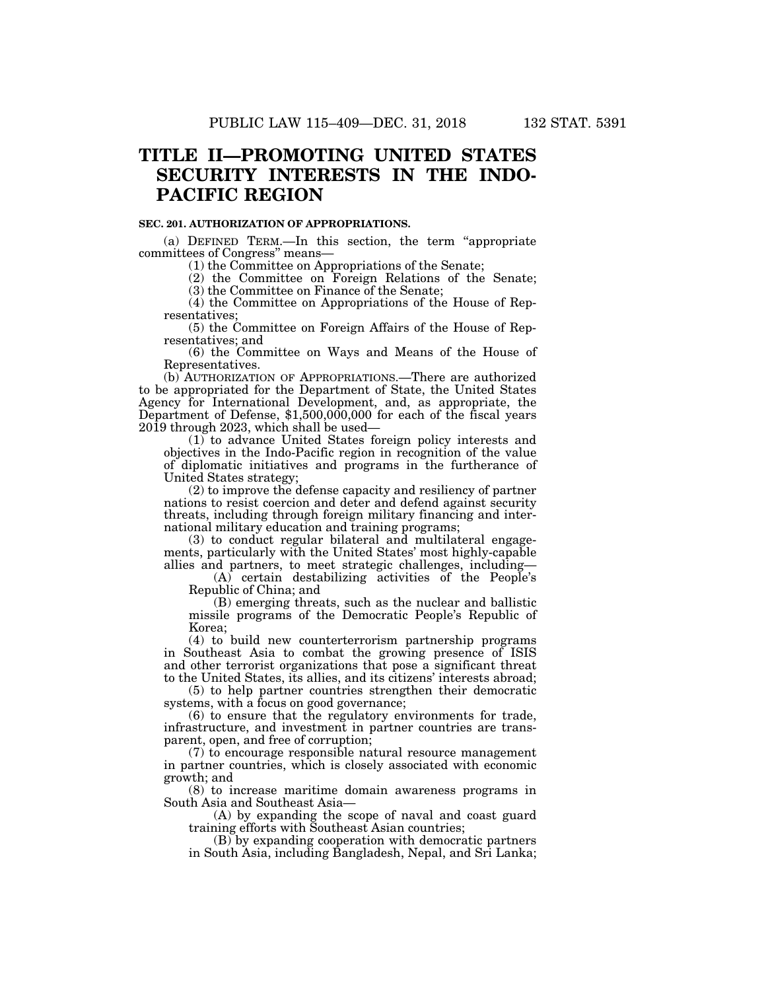# **TITLE II—PROMOTING UNITED STATES SECURITY INTERESTS IN THE INDO-PACIFIC REGION**

### **SEC. 201. AUTHORIZATION OF APPROPRIATIONS.**

(a) DEFINED TERM.—In this section, the term ''appropriate committees of Congress'' means—

(1) the Committee on Appropriations of the Senate;

(2) the Committee on Foreign Relations of the Senate; (3) the Committee on Finance of the Senate;

(4) the Committee on Appropriations of the House of Representatives;

(5) the Committee on Foreign Affairs of the House of Representatives; and

(6) the Committee on Ways and Means of the House of Representatives.

(b) AUTHORIZATION OF APPROPRIATIONS.—There are authorized to be appropriated for the Department of State, the United States Agency for International Development, and, as appropriate, the Department of Defense, \$1,500,000,000 for each of the fiscal years 2019 through 2023, which shall be used—

(1) to advance United States foreign policy interests and objectives in the Indo-Pacific region in recognition of the value of diplomatic initiatives and programs in the furtherance of United States strategy;

(2) to improve the defense capacity and resiliency of partner nations to resist coercion and deter and defend against security threats, including through foreign military financing and international military education and training programs;

(3) to conduct regular bilateral and multilateral engagements, particularly with the United States' most highly-capable allies and partners, to meet strategic challenges, including—

(A) certain destabilizing activities of the People's Republic of China; and

(B) emerging threats, such as the nuclear and ballistic missile programs of the Democratic People's Republic of Korea;

(4) to build new counterterrorism partnership programs in Southeast Asia to combat the growing presence of ISIS and other terrorist organizations that pose a significant threat to the United States, its allies, and its citizens' interests abroad;

(5) to help partner countries strengthen their democratic systems, with a focus on good governance;

(6) to ensure that the regulatory environments for trade, infrastructure, and investment in partner countries are transparent, open, and free of corruption;

(7) to encourage responsible natural resource management in partner countries, which is closely associated with economic growth; and

(8) to increase maritime domain awareness programs in South Asia and Southeast Asia—

(A) by expanding the scope of naval and coast guard training efforts with Southeast Asian countries;

(B) by expanding cooperation with democratic partners in South Asia, including Bangladesh, Nepal, and Sri Lanka;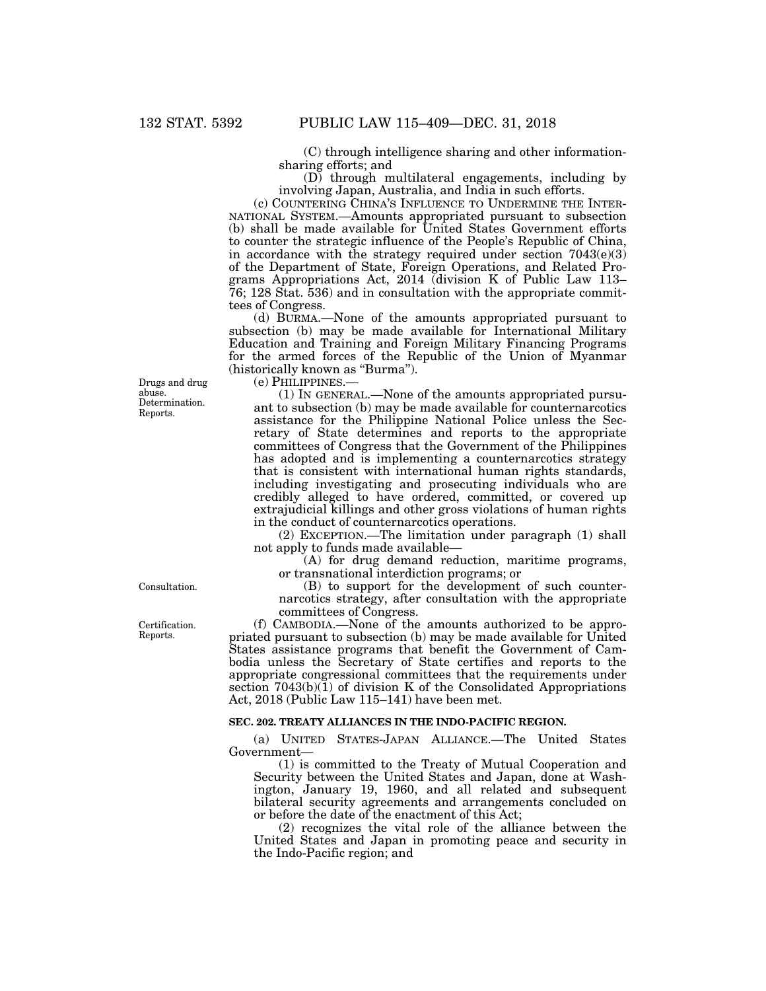(C) through intelligence sharing and other informationsharing efforts; and

(D) through multilateral engagements, including by involving Japan, Australia, and India in such efforts.

(c) COUNTERING CHINA'S INFLUENCE TO UNDERMINE THE INTER-NATIONAL SYSTEM.—Amounts appropriated pursuant to subsection (b) shall be made available for United States Government efforts to counter the strategic influence of the People's Republic of China, in accordance with the strategy required under section  $7043(e)(3)$ of the Department of State, Foreign Operations, and Related Programs Appropriations Act, 2014 (division K of Public Law 113– 76; 128 Stat. 536) and in consultation with the appropriate committees of Congress.

(d) BURMA.—None of the amounts appropriated pursuant to subsection (b) may be made available for International Military Education and Training and Foreign Military Financing Programs for the armed forces of the Republic of the Union of Myanmar (historically known as ''Burma'').

(e) PHILIPPINES.—

(1) IN GENERAL.—None of the amounts appropriated pursuant to subsection (b) may be made available for counternarcotics assistance for the Philippine National Police unless the Secretary of State determines and reports to the appropriate committees of Congress that the Government of the Philippines has adopted and is implementing a counternarcotics strategy that is consistent with international human rights standards, including investigating and prosecuting individuals who are credibly alleged to have ordered, committed, or covered up extrajudicial killings and other gross violations of human rights in the conduct of counternarcotics operations.

(2) EXCEPTION.—The limitation under paragraph (1) shall not apply to funds made available—

(A) for drug demand reduction, maritime programs, or transnational interdiction programs; or

(B) to support for the development of such counternarcotics strategy, after consultation with the appropriate committees of Congress.

(f) CAMBODIA.—None of the amounts authorized to be appropriated pursuant to subsection (b) may be made available for United States assistance programs that benefit the Government of Cambodia unless the Secretary of State certifies and reports to the appropriate congressional committees that the requirements under section  $7043(b)(1)$  of division K of the Consolidated Appropriations Act, 2018 (Public Law 115–141) have been met.

## **SEC. 202. TREATY ALLIANCES IN THE INDO-PACIFIC REGION.**

(a) UNITED STATES-JAPAN ALLIANCE.—The United States Government—

(1) is committed to the Treaty of Mutual Cooperation and Security between the United States and Japan, done at Washington, January 19, 1960, and all related and subsequent bilateral security agreements and arrangements concluded on or before the date of the enactment of this Act;

(2) recognizes the vital role of the alliance between the United States and Japan in promoting peace and security in the Indo-Pacific region; and

Determination. Reports. Drugs and drug abuse.

Consultation.

Certification. Reports.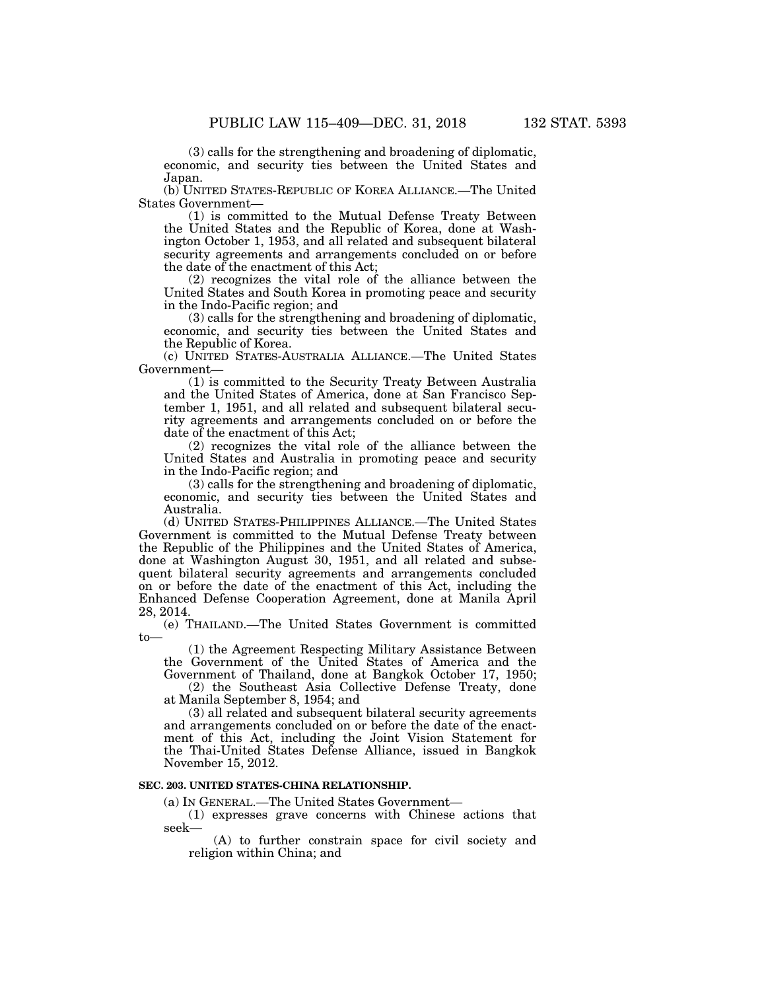(3) calls for the strengthening and broadening of diplomatic, economic, and security ties between the United States and Japan.

(b) UNITED STATES-REPUBLIC OF KOREA ALLIANCE.—The United States Government—

(1) is committed to the Mutual Defense Treaty Between the United States and the Republic of Korea, done at Washington October 1, 1953, and all related and subsequent bilateral security agreements and arrangements concluded on or before the date of the enactment of this Act;

(2) recognizes the vital role of the alliance between the United States and South Korea in promoting peace and security in the Indo-Pacific region; and

(3) calls for the strengthening and broadening of diplomatic, economic, and security ties between the United States and the Republic of Korea.

(c) UNITED STATES-AUSTRALIA ALLIANCE.—The United States Government—

(1) is committed to the Security Treaty Between Australia and the United States of America, done at San Francisco September 1, 1951, and all related and subsequent bilateral security agreements and arrangements concluded on or before the date of the enactment of this Act;

(2) recognizes the vital role of the alliance between the United States and Australia in promoting peace and security in the Indo-Pacific region; and

(3) calls for the strengthening and broadening of diplomatic, economic, and security ties between the United States and Australia.

(d) UNITED STATES-PHILIPPINES ALLIANCE.—The United States Government is committed to the Mutual Defense Treaty between the Republic of the Philippines and the United States of America, done at Washington August 30, 1951, and all related and subsequent bilateral security agreements and arrangements concluded on or before the date of the enactment of this Act, including the Enhanced Defense Cooperation Agreement, done at Manila April 28, 2014.

(e) THAILAND.—The United States Government is committed to—

(1) the Agreement Respecting Military Assistance Between the Government of the United States of America and the Government of Thailand, done at Bangkok October 17, 1950;

(2) the Southeast Asia Collective Defense Treaty, done at Manila September 8, 1954; and

(3) all related and subsequent bilateral security agreements and arrangements concluded on or before the date of the enactment of this Act, including the Joint Vision Statement for the Thai-United States Defense Alliance, issued in Bangkok November 15, 2012.

## **SEC. 203. UNITED STATES-CHINA RELATIONSHIP.**

(a) IN GENERAL.—The United States Government—

(1) expresses grave concerns with Chinese actions that seek—

(A) to further constrain space for civil society and religion within China; and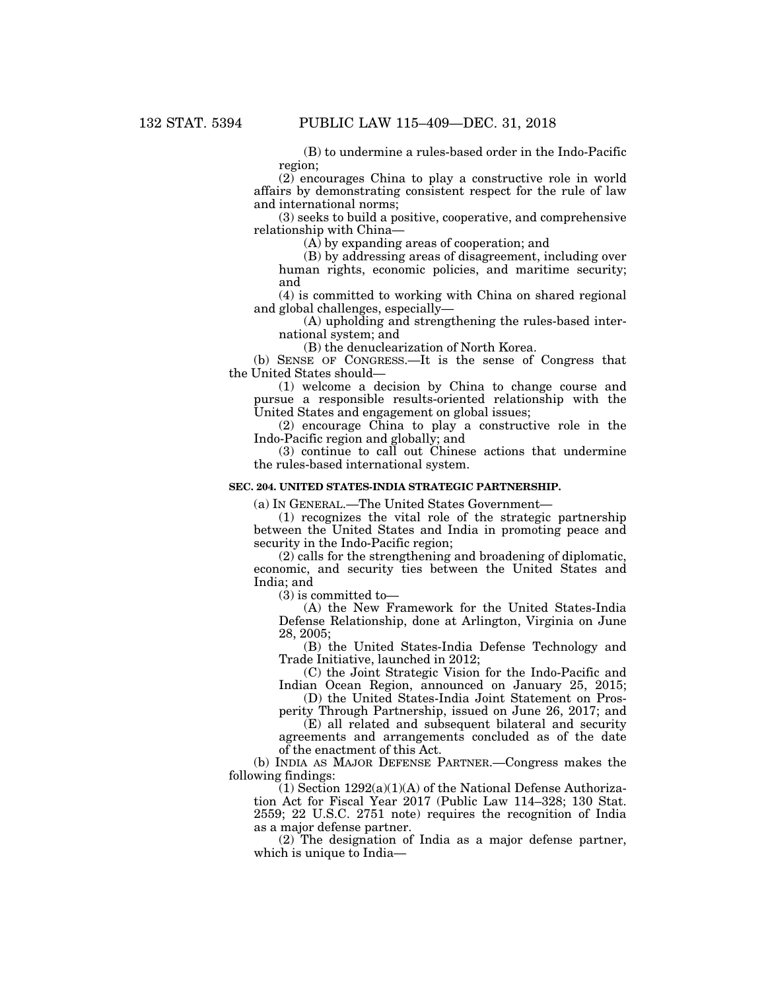(B) to undermine a rules-based order in the Indo-Pacific region;

(2) encourages China to play a constructive role in world affairs by demonstrating consistent respect for the rule of law and international norms;

(3) seeks to build a positive, cooperative, and comprehensive relationship with China—

(A) by expanding areas of cooperation; and

(B) by addressing areas of disagreement, including over human rights, economic policies, and maritime security; and

(4) is committed to working with China on shared regional and global challenges, especially—

(A) upholding and strengthening the rules-based international system; and

(B) the denuclearization of North Korea.

(b) SENSE OF CONGRESS.—It is the sense of Congress that the United States should—

(1) welcome a decision by China to change course and pursue a responsible results-oriented relationship with the United States and engagement on global issues;

(2) encourage China to play a constructive role in the Indo-Pacific region and globally; and

(3) continue to call out Chinese actions that undermine the rules-based international system.

## **SEC. 204. UNITED STATES-INDIA STRATEGIC PARTNERSHIP.**

(a) IN GENERAL.—The United States Government—

(1) recognizes the vital role of the strategic partnership between the United States and India in promoting peace and security in the Indo-Pacific region;

(2) calls for the strengthening and broadening of diplomatic, economic, and security ties between the United States and India; and

(3) is committed to—

(A) the New Framework for the United States-India Defense Relationship, done at Arlington, Virginia on June 28, 2005;

(B) the United States-India Defense Technology and Trade Initiative, launched in 2012;

(C) the Joint Strategic Vision for the Indo-Pacific and Indian Ocean Region, announced on January 25, 2015;

(D) the United States-India Joint Statement on Prosperity Through Partnership, issued on June 26, 2017; and

(E) all related and subsequent bilateral and security agreements and arrangements concluded as of the date of the enactment of this Act.

(b) INDIA AS MAJOR DEFENSE PARTNER.—Congress makes the following findings:

 $(1)$  Section  $1292(a)(1)(A)$  of the National Defense Authorization Act for Fiscal Year 2017 (Public Law 114–328; 130 Stat. 2559; 22 U.S.C. 2751 note) requires the recognition of India as a major defense partner.

(2) The designation of India as a major defense partner, which is unique to India—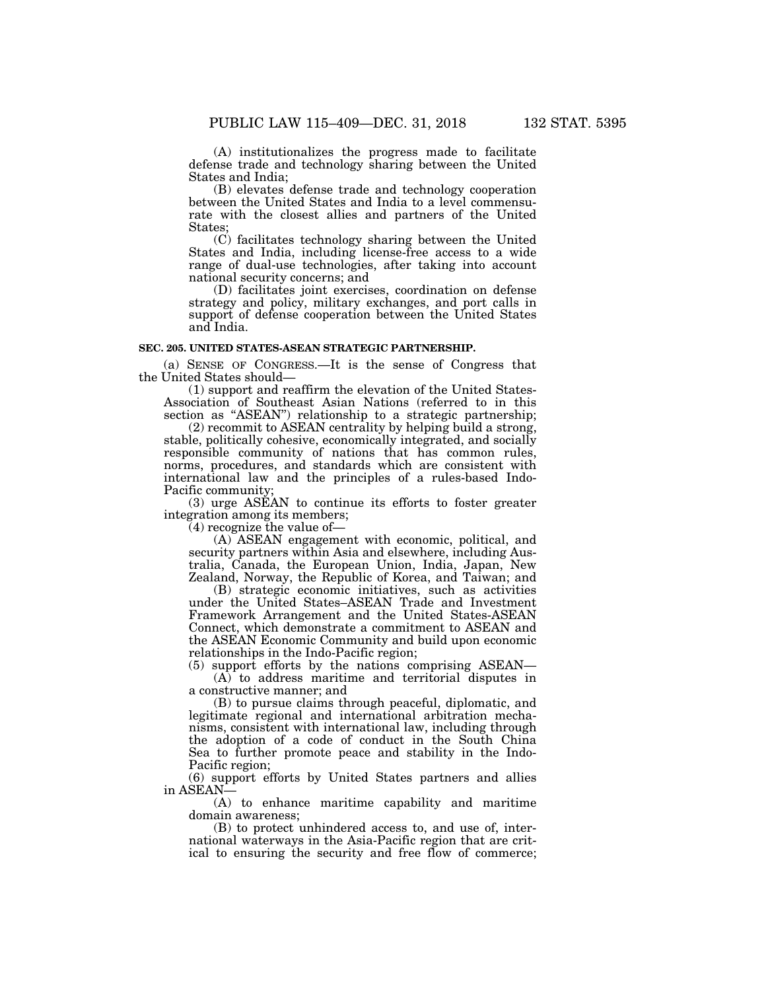(A) institutionalizes the progress made to facilitate defense trade and technology sharing between the United States and India;

(B) elevates defense trade and technology cooperation between the United States and India to a level commensurate with the closest allies and partners of the United States;

(C) facilitates technology sharing between the United States and India, including license-free access to a wide range of dual-use technologies, after taking into account national security concerns; and

(D) facilitates joint exercises, coordination on defense strategy and policy, military exchanges, and port calls in support of defense cooperation between the United States and India.

# **SEC. 205. UNITED STATES-ASEAN STRATEGIC PARTNERSHIP.**

(a) SENSE OF CONGRESS.—It is the sense of Congress that the United States should—

(1) support and reaffirm the elevation of the United States-Association of Southeast Asian Nations (referred to in this section as "ASEAN") relationship to a strategic partnership;

 $(2)$  recommit to ASEAN centrality by helping build a strong, stable, politically cohesive, economically integrated, and socially responsible community of nations that has common rules, norms, procedures, and standards which are consistent with international law and the principles of a rules-based Indo-Pacific community;

(3) urge ASEAN to continue its efforts to foster greater integration among its members;

(4) recognize the value of—

(A) ASEAN engagement with economic, political, and security partners within Asia and elsewhere, including Australia, Canada, the European Union, India, Japan, New Zealand, Norway, the Republic of Korea, and Taiwan; and

(B) strategic economic initiatives, such as activities under the United States–ASEAN Trade and Investment Framework Arrangement and the United States-ASEAN Connect, which demonstrate a commitment to ASEAN and the ASEAN Economic Community and build upon economic relationships in the Indo-Pacific region;

(5) support efforts by the nations comprising ASEAN— (A) to address maritime and territorial disputes in a constructive manner; and

(B) to pursue claims through peaceful, diplomatic, and legitimate regional and international arbitration mechanisms, consistent with international law, including through the adoption of a code of conduct in the South China Sea to further promote peace and stability in the Indo-Pacific region;

(6) support efforts by United States partners and allies in ASEAN-

(A) to enhance maritime capability and maritime domain awareness;

(B) to protect unhindered access to, and use of, international waterways in the Asia-Pacific region that are critical to ensuring the security and free flow of commerce;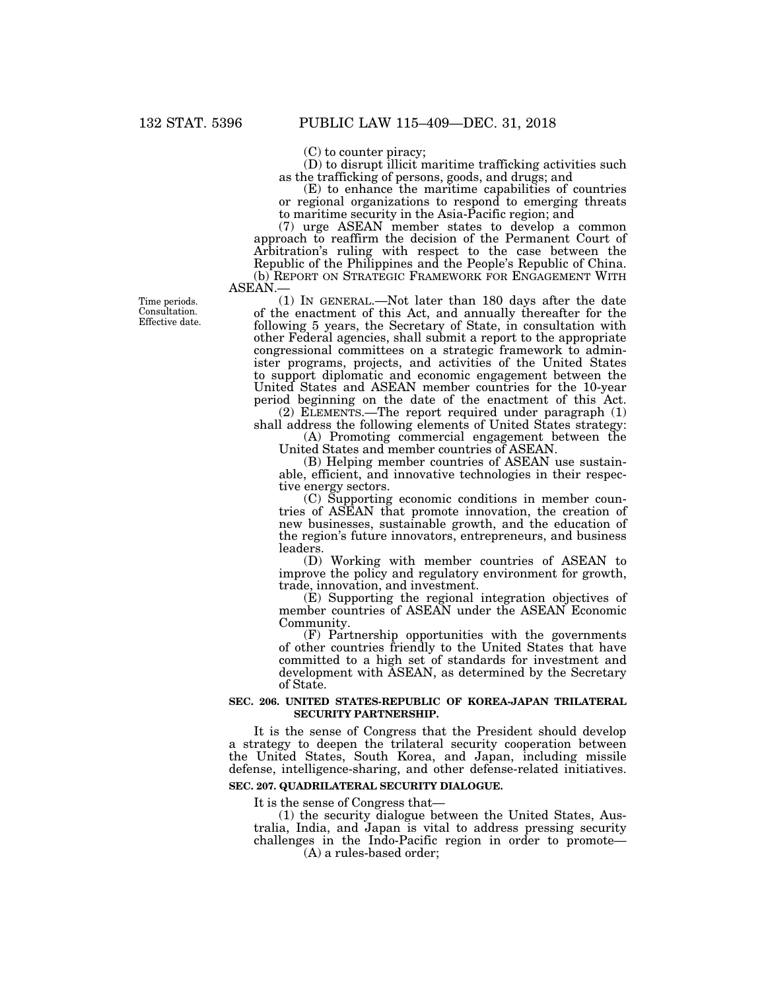(C) to counter piracy;

(D) to disrupt illicit maritime trafficking activities such as the trafficking of persons, goods, and drugs; and

(E) to enhance the maritime capabilities of countries or regional organizations to respond to emerging threats to maritime security in the Asia-Pacific region; and

(7) urge ASEAN member states to develop a common approach to reaffirm the decision of the Permanent Court of Arbitration's ruling with respect to the case between the Republic of the Philippines and the People's Republic of China. (b) REPORT ON STRATEGIC FRAMEWORK FOR ENGAGEMENT WITH ASEAN.—

(1) IN GENERAL.—Not later than 180 days after the date

of the enactment of this Act, and annually thereafter for the following 5 years, the Secretary of State, in consultation with other Federal agencies, shall submit a report to the appropriate congressional committees on a strategic framework to administer programs, projects, and activities of the United States to support diplomatic and economic engagement between the United States and ASEAN member countries for the 10-year period beginning on the date of the enactment of this Act.

(2) ELEMENTS.—The report required under paragraph (1) shall address the following elements of United States strategy:

(A) Promoting commercial engagement between the United States and member countries of ASEAN.

(B) Helping member countries of ASEAN use sustainable, efficient, and innovative technologies in their respective energy sectors.

(C) Supporting economic conditions in member countries of ASEAN that promote innovation, the creation of new businesses, sustainable growth, and the education of the region's future innovators, entrepreneurs, and business leaders.

(D) Working with member countries of ASEAN to improve the policy and regulatory environment for growth, trade, innovation, and investment.

(E) Supporting the regional integration objectives of member countries of ASEAN under the ASEAN Economic Community.

(F) Partnership opportunities with the governments of other countries friendly to the United States that have committed to a high set of standards for investment and development with ASEAN, as determined by the Secretary of State.

## **SEC. 206. UNITED STATES-REPUBLIC OF KOREA-JAPAN TRILATERAL SECURITY PARTNERSHIP.**

It is the sense of Congress that the President should develop a strategy to deepen the trilateral security cooperation between the United States, South Korea, and Japan, including missile defense, intelligence-sharing, and other defense-related initiatives. **SEC. 207. QUADRILATERAL SECURITY DIALOGUE.** 

It is the sense of Congress that—

(1) the security dialogue between the United States, Australia, India, and Japan is vital to address pressing security challenges in the Indo-Pacific region in order to promote—

(A) a rules-based order;

Time periods. Consultation. Effective date.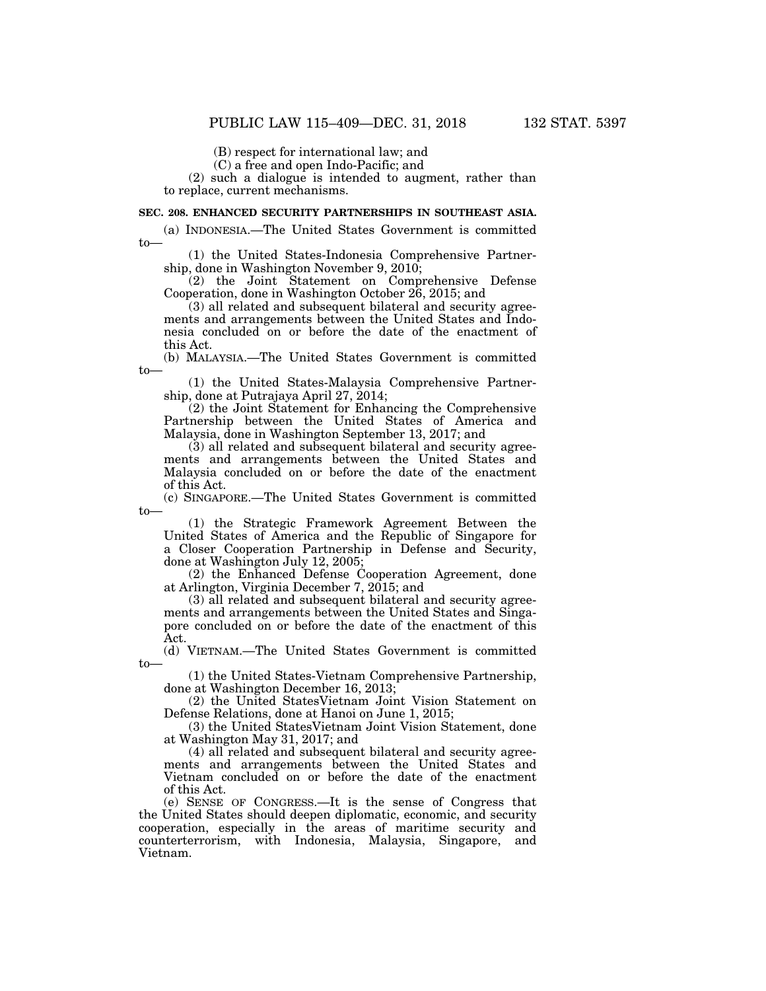(B) respect for international law; and

(C) a free and open Indo-Pacific; and

(2) such a dialogue is intended to augment, rather than to replace, current mechanisms.

## **SEC. 208. ENHANCED SECURITY PARTNERSHIPS IN SOUTHEAST ASIA.**

(a) INDONESIA.—The United States Government is committed to—

(1) the United States-Indonesia Comprehensive Partnership, done in Washington November 9, 2010;

(2) the Joint Statement on Comprehensive Defense Cooperation, done in Washington October 26, 2015; and

(3) all related and subsequent bilateral and security agreements and arrangements between the United States and Indonesia concluded on or before the date of the enactment of this Act.

(b) MALAYSIA.—The United States Government is committed to—

(1) the United States-Malaysia Comprehensive Partnership, done at Putrajaya April 27, 2014;

(2) the Joint Statement for Enhancing the Comprehensive Partnership between the United States of America and Malaysia, done in Washington September 13, 2017; and

(3) all related and subsequent bilateral and security agreements and arrangements between the United States and Malaysia concluded on or before the date of the enactment of this Act.

(c) SINGAPORE.—The United States Government is committed to—

(1) the Strategic Framework Agreement Between the United States of America and the Republic of Singapore for a Closer Cooperation Partnership in Defense and Security, done at Washington July 12, 2005;

(2) the Enhanced Defense Cooperation Agreement, done at Arlington, Virginia December 7, 2015; and

(3) all related and subsequent bilateral and security agreements and arrangements between the United States and Singapore concluded on or before the date of the enactment of this Act.

(d) VIETNAM.—The United States Government is committed to—

(1) the United States-Vietnam Comprehensive Partnership, done at Washington December 16, 2013;

(2) the United StatesVietnam Joint Vision Statement on Defense Relations, done at Hanoi on June 1, 2015;

(3) the United StatesVietnam Joint Vision Statement, done at Washington May 31, 2017; and

(4) all related and subsequent bilateral and security agreements and arrangements between the United States and Vietnam concluded on or before the date of the enactment of this Act.

(e) SENSE OF CONGRESS.—It is the sense of Congress that the United States should deepen diplomatic, economic, and security cooperation, especially in the areas of maritime security and counterterrorism, with Indonesia, Malaysia, Singapore, and Vietnam.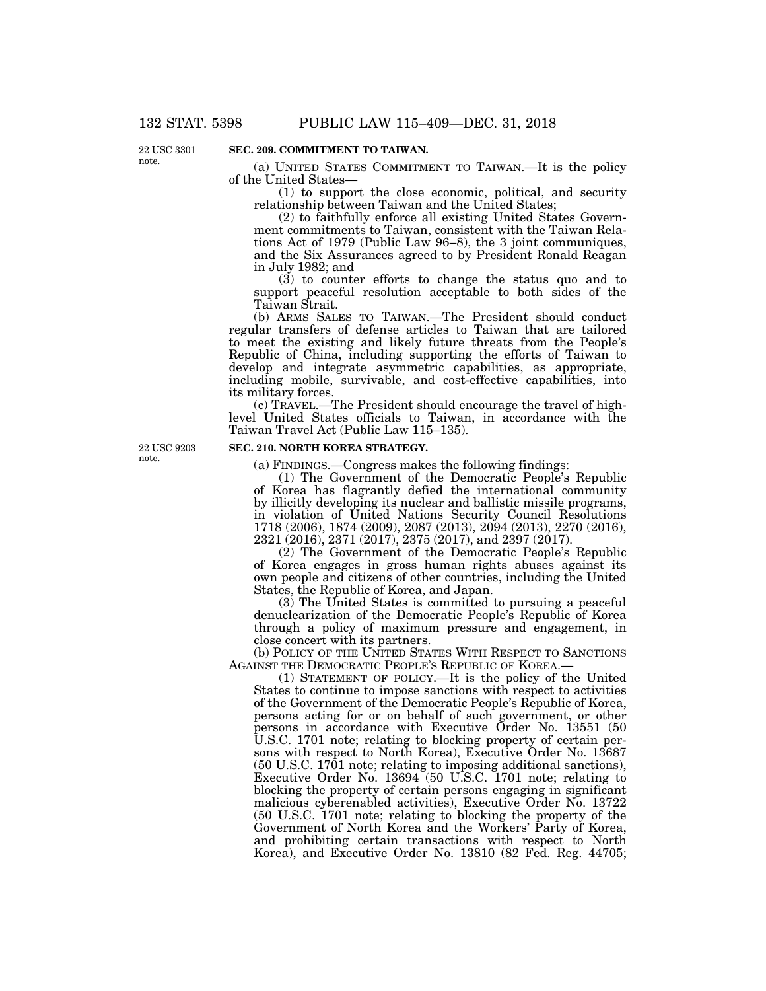22 USC 3301 note.

# **SEC. 209. COMMITMENT TO TAIWAN.**

(a) UNITED STATES COMMITMENT TO TAIWAN.—It is the policy of the United States—

(1) to support the close economic, political, and security relationship between Taiwan and the United States;

(2) to faithfully enforce all existing United States Government commitments to Taiwan, consistent with the Taiwan Relations Act of 1979 (Public Law 96–8), the 3 joint communiques, and the Six Assurances agreed to by President Ronald Reagan in July 1982; and

(3) to counter efforts to change the status quo and to support peaceful resolution acceptable to both sides of the Taiwan Strait.

(b) ARMS SALES TO TAIWAN.—The President should conduct regular transfers of defense articles to Taiwan that are tailored to meet the existing and likely future threats from the People's Republic of China, including supporting the efforts of Taiwan to develop and integrate asymmetric capabilities, as appropriate, including mobile, survivable, and cost-effective capabilities, into its military forces.

(c) TRAVEL.—The President should encourage the travel of highlevel United States officials to Taiwan, in accordance with the Taiwan Travel Act (Public Law 115–135).

22 USC 9203 note.

# **SEC. 210. NORTH KOREA STRATEGY.**

(a) FINDINGS.—Congress makes the following findings:

(1) The Government of the Democratic People's Republic of Korea has flagrantly defied the international community by illicitly developing its nuclear and ballistic missile programs, in violation of United Nations Security Council Resolutions 1718 (2006), 1874 (2009), 2087 (2013), 2094 (2013), 2270 (2016), 2321 (2016), 2371 (2017), 2375 (2017), and 2397 (2017).

(2) The Government of the Democratic People's Republic of Korea engages in gross human rights abuses against its own people and citizens of other countries, including the United States, the Republic of Korea, and Japan.

(3) The United States is committed to pursuing a peaceful denuclearization of the Democratic People's Republic of Korea through a policy of maximum pressure and engagement, in close concert with its partners.

(b) POLICY OF THE UNITED STATES WITH RESPECT TO SANCTIONS AGAINST THE DEMOCRATIC PEOPLE'S REPUBLIC OF KOREA.

(1) STATEMENT OF POLICY.—It is the policy of the United States to continue to impose sanctions with respect to activities of the Government of the Democratic People's Republic of Korea, persons acting for or on behalf of such government, or other persons in accordance with Executive Order No. 13551 (50 U.S.C. 1701 note; relating to blocking property of certain persons with respect to North Korea), Executive Order No. 13687 (50 U.S.C. 1701 note; relating to imposing additional sanctions), Executive Order No. 13694 (50 U.S.C. 1701 note; relating to blocking the property of certain persons engaging in significant malicious cyberenabled activities), Executive Order No. 13722 (50 U.S.C. 1701 note; relating to blocking the property of the Government of North Korea and the Workers' Party of Korea, and prohibiting certain transactions with respect to North Korea), and Executive Order No. 13810 (82 Fed. Reg. 44705;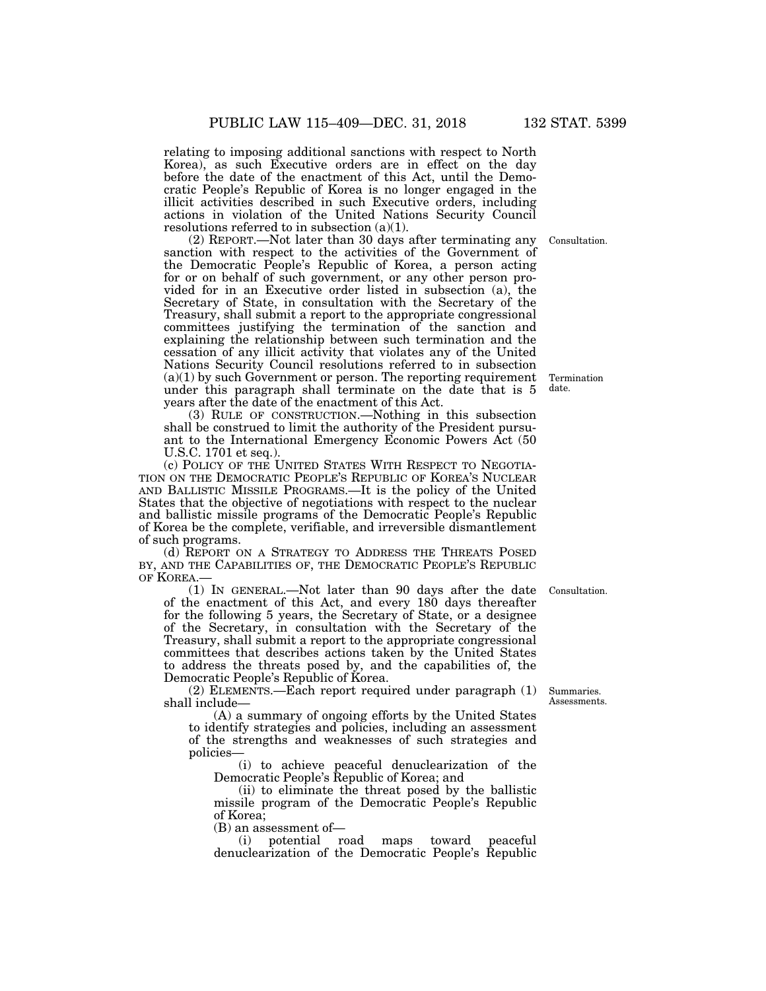relating to imposing additional sanctions with respect to North Korea), as such Executive orders are in effect on the day before the date of the enactment of this Act, until the Democratic People's Republic of Korea is no longer engaged in the illicit activities described in such Executive orders, including actions in violation of the United Nations Security Council resolutions referred to in subsection  $(a)(1)$ .

(2) REPORT.—Not later than 30 days after terminating any sanction with respect to the activities of the Government of the Democratic People's Republic of Korea, a person acting for or on behalf of such government, or any other person provided for in an Executive order listed in subsection (a), the Secretary of State, in consultation with the Secretary of the Treasury, shall submit a report to the appropriate congressional committees justifying the termination of the sanction and explaining the relationship between such termination and the cessation of any illicit activity that violates any of the United Nations Security Council resolutions referred to in subsection (a)(1) by such Government or person. The reporting requirement under this paragraph shall terminate on the date that is 5 years after the date of the enactment of this Act.

(3) RULE OF CONSTRUCTION.—Nothing in this subsection shall be construed to limit the authority of the President pursuant to the International Emergency Economic Powers Act (50 U.S.C. 1701 et seq.).

(c) POLICY OF THE UNITED STATES WITH RESPECT TO NEGOTIA-TION ON THE DEMOCRATIC PEOPLE'S REPUBLIC OF KOREA'S NUCLEAR AND BALLISTIC MISSILE PROGRAMS.—It is the policy of the United States that the objective of negotiations with respect to the nuclear and ballistic missile programs of the Democratic People's Republic of Korea be the complete, verifiable, and irreversible dismantlement of such programs.

(d) REPORT ON A STRATEGY TO ADDRESS THE THREATS POSED BY, AND THE CAPABILITIES OF, THE DEMOCRATIC PEOPLE'S REPUBLIC OF KOREA.

(1) IN GENERAL.—Not later than 90 days after the date of the enactment of this Act, and every 180 days thereafter for the following 5 years, the Secretary of State, or a designee of the Secretary, in consultation with the Secretary of the Treasury, shall submit a report to the appropriate congressional committees that describes actions taken by the United States to address the threats posed by, and the capabilities of, the Democratic People's Republic of Korea.

(2) ELEMENTS.—Each report required under paragraph (1) shall include—

(A) a summary of ongoing efforts by the United States to identify strategies and policies, including an assessment of the strengths and weaknesses of such strategies and policies—

(i) to achieve peaceful denuclearization of the Democratic People's Republic of Korea; and

(ii) to eliminate the threat posed by the ballistic missile program of the Democratic People's Republic of Korea;

(B) an assessment of—

(i) potential road maps toward peaceful denuclearization of the Democratic People's Republic

Summaries. Assessments.

Consultation.

Termination date.

Consultation.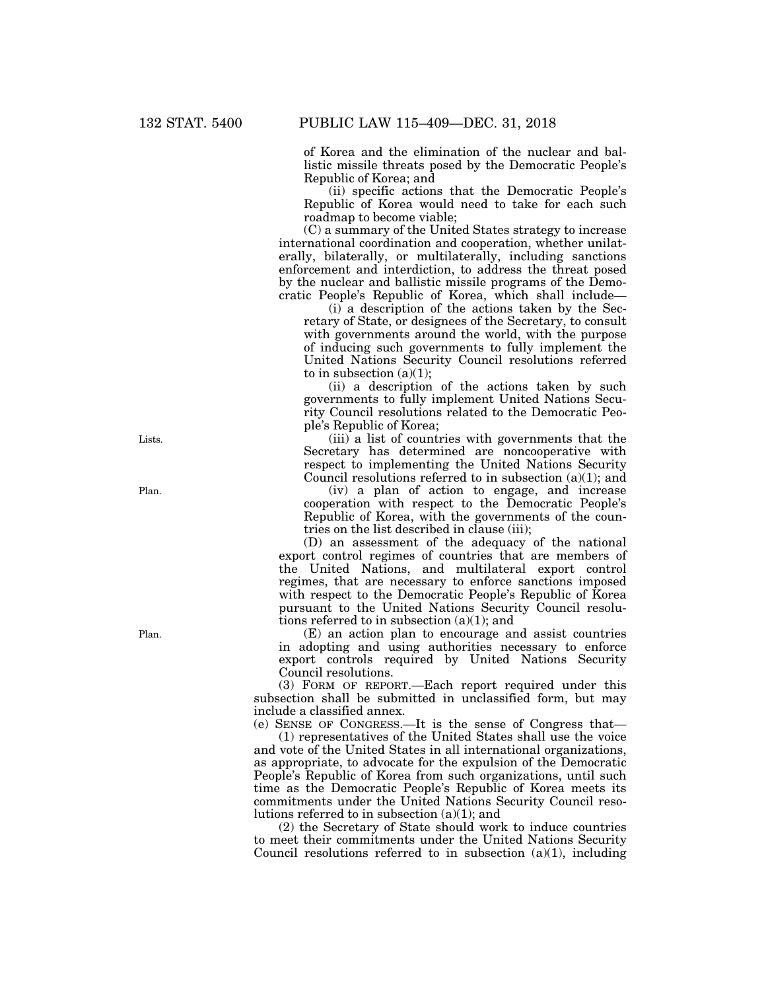of Korea and the elimination of the nuclear and ballistic missile threats posed by the Democratic People's Republic of Korea; and

(ii) specific actions that the Democratic People's Republic of Korea would need to take for each such roadmap to become viable;

(C) a summary of the United States strategy to increase international coordination and cooperation, whether unilaterally, bilaterally, or multilaterally, including sanctions enforcement and interdiction, to address the threat posed by the nuclear and ballistic missile programs of the Democratic People's Republic of Korea, which shall include—

(i) a description of the actions taken by the Secretary of State, or designees of the Secretary, to consult with governments around the world, with the purpose of inducing such governments to fully implement the United Nations Security Council resolutions referred to in subsection  $(a)(1)$ ;

(ii) a description of the actions taken by such governments to fully implement United Nations Security Council resolutions related to the Democratic People's Republic of Korea;

(iii) a list of countries with governments that the Secretary has determined are noncooperative with respect to implementing the United Nations Security Council resolutions referred to in subsection (a)(1); and

(iv) a plan of action to engage, and increase cooperation with respect to the Democratic People's Republic of Korea, with the governments of the countries on the list described in clause (iii);

(D) an assessment of the adequacy of the national export control regimes of countries that are members of the United Nations, and multilateral export control regimes, that are necessary to enforce sanctions imposed with respect to the Democratic People's Republic of Korea pursuant to the United Nations Security Council resolutions referred to in subsection  $(a)(1)$ ; and

(E) an action plan to encourage and assist countries in adopting and using authorities necessary to enforce export controls required by United Nations Security Council resolutions.

(3) FORM OF REPORT.—Each report required under this subsection shall be submitted in unclassified form, but may include a classified annex.

(e) SENSE OF CONGRESS.—It is the sense of Congress that—

(1) representatives of the United States shall use the voice and vote of the United States in all international organizations, as appropriate, to advocate for the expulsion of the Democratic People's Republic of Korea from such organizations, until such time as the Democratic People's Republic of Korea meets its commitments under the United Nations Security Council resolutions referred to in subsection (a)(1); and

(2) the Secretary of State should work to induce countries to meet their commitments under the United Nations Security Council resolutions referred to in subsection  $(a)(1)$ , including

Lists.

Plan.

Plan.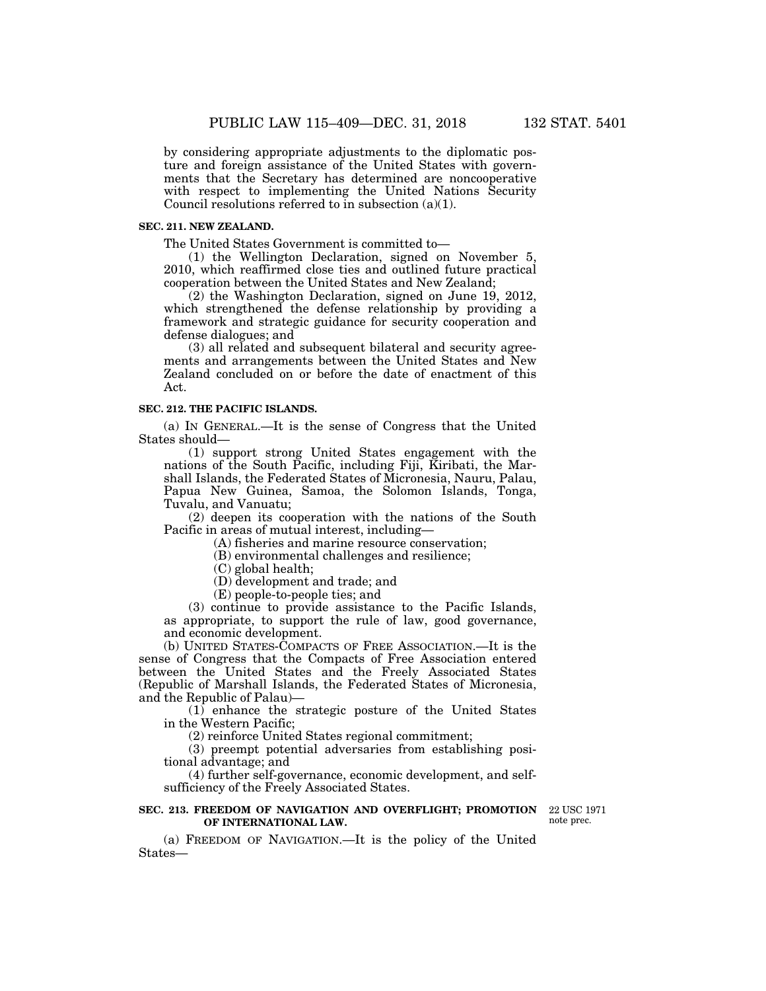by considering appropriate adjustments to the diplomatic posture and foreign assistance of the United States with governments that the Secretary has determined are noncooperative with respect to implementing the United Nations Security Council resolutions referred to in subsection (a)(1).

## **SEC. 211. NEW ZEALAND.**

The United States Government is committed to—

(1) the Wellington Declaration, signed on November 5, 2010, which reaffirmed close ties and outlined future practical cooperation between the United States and New Zealand;

(2) the Washington Declaration, signed on June 19, 2012, which strengthened the defense relationship by providing a framework and strategic guidance for security cooperation and defense dialogues; and

(3) all related and subsequent bilateral and security agreements and arrangements between the United States and New Zealand concluded on or before the date of enactment of this Act.

#### **SEC. 212. THE PACIFIC ISLANDS.**

(a) IN GENERAL.—It is the sense of Congress that the United States should—

(1) support strong United States engagement with the nations of the South Pacific, including Fiji, Kiribati, the Marshall Islands, the Federated States of Micronesia, Nauru, Palau, Papua New Guinea, Samoa, the Solomon Islands, Tonga, Tuvalu, and Vanuatu;

(2) deepen its cooperation with the nations of the South Pacific in areas of mutual interest, including—

(A) fisheries and marine resource conservation;

(B) environmental challenges and resilience;

(C) global health;

(D) development and trade; and

(E) people-to-people ties; and

(3) continue to provide assistance to the Pacific Islands, as appropriate, to support the rule of law, good governance, and economic development.

(b) UNITED STATES-COMPACTS OF FREE ASSOCIATION.—It is the sense of Congress that the Compacts of Free Association entered between the United States and the Freely Associated States (Republic of Marshall Islands, the Federated States of Micronesia, and the Republic of Palau)—

(1) enhance the strategic posture of the United States in the Western Pacific;

(2) reinforce United States regional commitment;

(3) preempt potential adversaries from establishing positional advantage; and

(4) further self-governance, economic development, and selfsufficiency of the Freely Associated States.

#### **SEC. 213. FREEDOM OF NAVIGATION AND OVERFLIGHT; PROMOTION** 22 USC 1971 **OF INTERNATIONAL LAW.**

note prec.

(a) FREEDOM OF NAVIGATION.—It is the policy of the United States—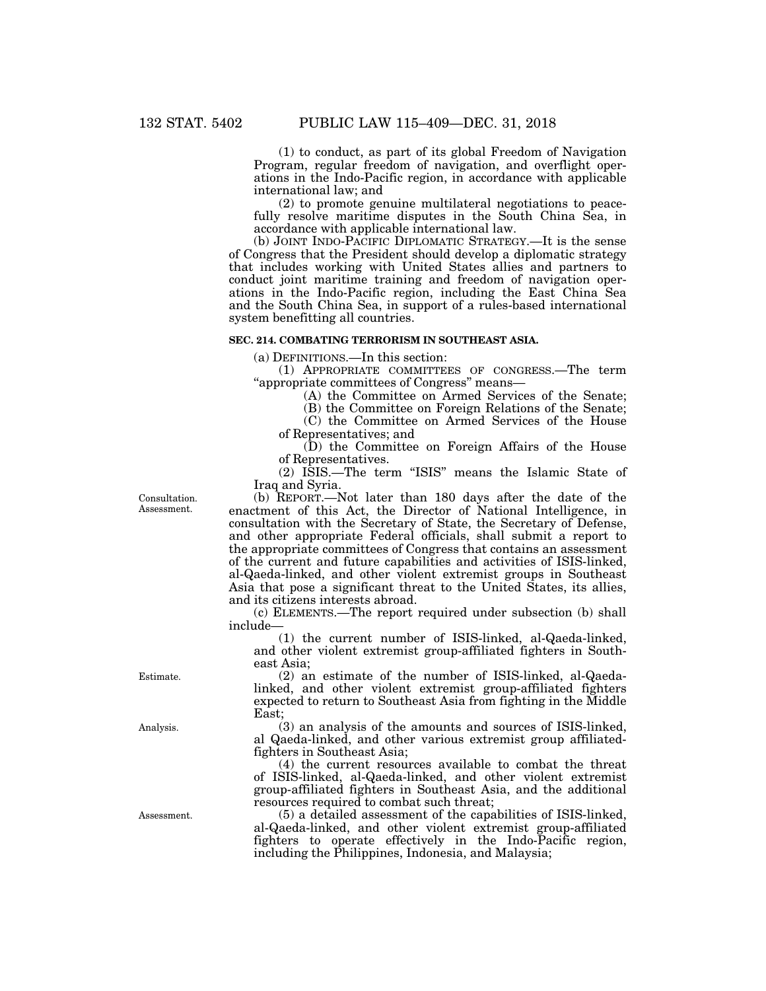(1) to conduct, as part of its global Freedom of Navigation Program, regular freedom of navigation, and overflight operations in the Indo-Pacific region, in accordance with applicable international law; and

(2) to promote genuine multilateral negotiations to peacefully resolve maritime disputes in the South China Sea, in accordance with applicable international law.

(b) JOINT INDO-PACIFIC DIPLOMATIC STRATEGY.—It is the sense of Congress that the President should develop a diplomatic strategy that includes working with United States allies and partners to conduct joint maritime training and freedom of navigation operations in the Indo-Pacific region, including the East China Sea and the South China Sea, in support of a rules-based international system benefitting all countries.

## **SEC. 214. COMBATING TERRORISM IN SOUTHEAST ASIA.**

(a) DEFINITIONS.—In this section:

(1) APPROPRIATE COMMITTEES OF CONGRESS.—The term ''appropriate committees of Congress'' means—

(A) the Committee on Armed Services of the Senate;

(B) the Committee on Foreign Relations of the Senate;

(C) the Committee on Armed Services of the House

of Representatives; and

(D) the Committee on Foreign Affairs of the House of Representatives.

(2) ISIS.—The term ''ISIS'' means the Islamic State of Iraq and Syria.

Consultation. Assessment.

(b) REPORT.—Not later than 180 days after the date of the enactment of this Act, the Director of National Intelligence, in consultation with the Secretary of State, the Secretary of Defense, and other appropriate Federal officials, shall submit a report to the appropriate committees of Congress that contains an assessment of the current and future capabilities and activities of ISIS-linked, al-Qaeda-linked, and other violent extremist groups in Southeast Asia that pose a significant threat to the United States, its allies, and its citizens interests abroad.

(c) ELEMENTS.—The report required under subsection (b) shall include—

(1) the current number of ISIS-linked, al-Qaeda-linked, and other violent extremist group-affiliated fighters in Southeast Asia;

(2) an estimate of the number of ISIS-linked, al-Qaedalinked, and other violent extremist group-affiliated fighters expected to return to Southeast Asia from fighting in the Middle East;

(3) an analysis of the amounts and sources of ISIS-linked, al Qaeda-linked, and other various extremist group affiliatedfighters in Southeast Asia;

(4) the current resources available to combat the threat of ISIS-linked, al-Qaeda-linked, and other violent extremist group-affiliated fighters in Southeast Asia, and the additional resources required to combat such threat;

(5) a detailed assessment of the capabilities of ISIS-linked, al-Qaeda-linked, and other violent extremist group-affiliated fighters to operate effectively in the Indo-Pacific region, including the Philippines, Indonesia, and Malaysia;

Estimate.

Analysis.

Assessment.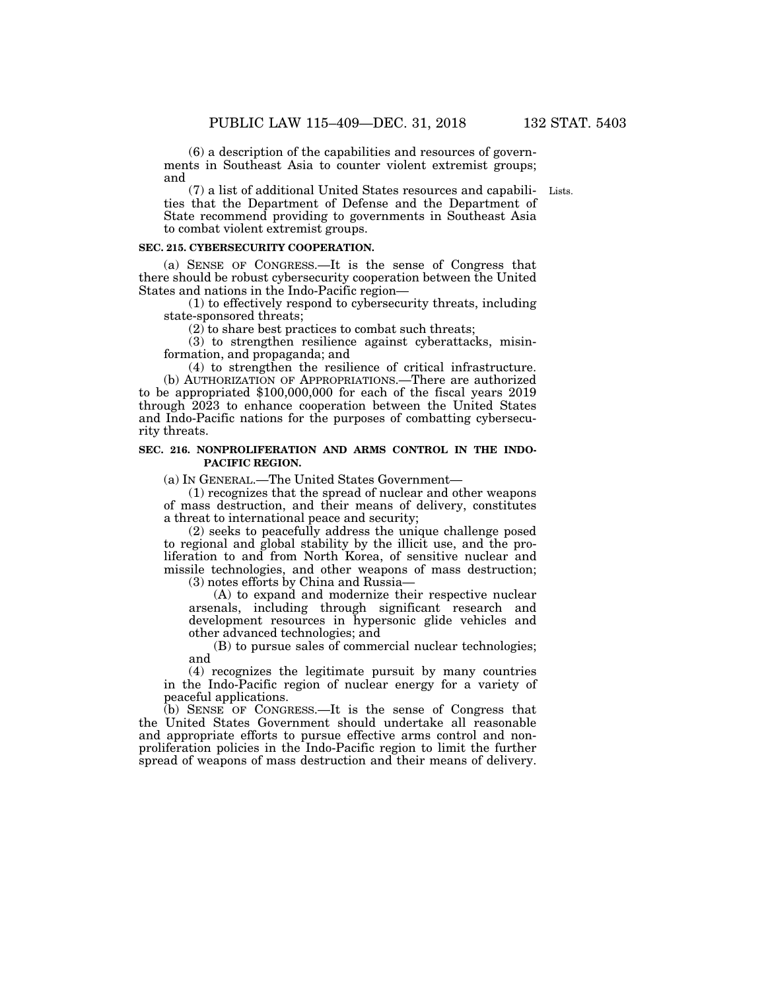(6) a description of the capabilities and resources of governments in Southeast Asia to counter violent extremist groups; and

(7) a list of additional United States resources and capabili-Lists. ties that the Department of Defense and the Department of State recommend providing to governments in Southeast Asia to combat violent extremist groups.

### **SEC. 215. CYBERSECURITY COOPERATION.**

(a) SENSE OF CONGRESS.—It is the sense of Congress that there should be robust cybersecurity cooperation between the United States and nations in the Indo-Pacific region—

(1) to effectively respond to cybersecurity threats, including state-sponsored threats;

 $(2)$  to share best practices to combat such threats;

(3) to strengthen resilience against cyberattacks, misinformation, and propaganda; and

(4) to strengthen the resilience of critical infrastructure. (b) AUTHORIZATION OF APPROPRIATIONS.—There are authorized to be appropriated \$100,000,000 for each of the fiscal years 2019 through 2023 to enhance cooperation between the United States and Indo-Pacific nations for the purposes of combatting cybersecurity threats.

### **SEC. 216. NONPROLIFERATION AND ARMS CONTROL IN THE INDO-PACIFIC REGION.**

(a) IN GENERAL.—The United States Government—

(1) recognizes that the spread of nuclear and other weapons of mass destruction, and their means of delivery, constitutes a threat to international peace and security;

(2) seeks to peacefully address the unique challenge posed to regional and global stability by the illicit use, and the proliferation to and from North Korea, of sensitive nuclear and missile technologies, and other weapons of mass destruction; (3) notes efforts by China and Russia—

(A) to expand and modernize their respective nuclear

arsenals, including through significant research and development resources in hypersonic glide vehicles and other advanced technologies; and

(B) to pursue sales of commercial nuclear technologies; and

(4) recognizes the legitimate pursuit by many countries in the Indo-Pacific region of nuclear energy for a variety of peaceful applications.

(b) SENSE OF CONGRESS.—It is the sense of Congress that the United States Government should undertake all reasonable and appropriate efforts to pursue effective arms control and nonproliferation policies in the Indo-Pacific region to limit the further spread of weapons of mass destruction and their means of delivery.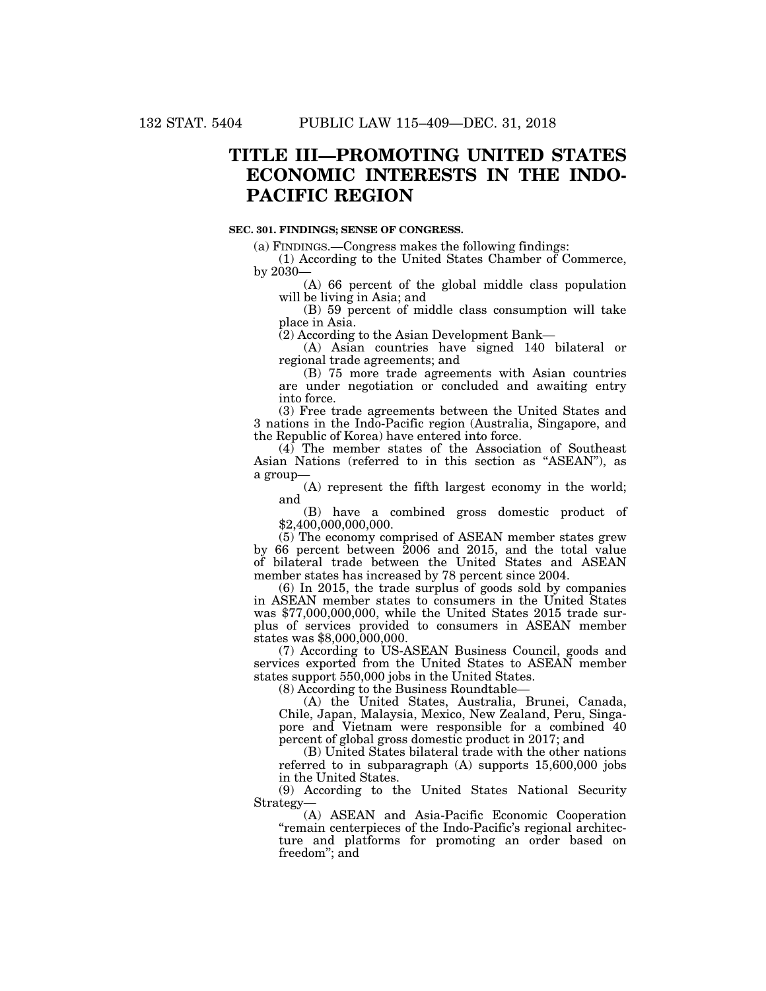# **TITLE III—PROMOTING UNITED STATES ECONOMIC INTERESTS IN THE INDO-PACIFIC REGION**

#### **SEC. 301. FINDINGS; SENSE OF CONGRESS.**

(a) FINDINGS.—Congress makes the following findings:

(1) According to the United States Chamber of Commerce, by 2030—

(A) 66 percent of the global middle class population will be living in Asia; and

(B) 59 percent of middle class consumption will take place in Asia.

(2) According to the Asian Development Bank—

(A) Asian countries have signed 140 bilateral or regional trade agreements; and

(B) 75 more trade agreements with Asian countries are under negotiation or concluded and awaiting entry into force.

(3) Free trade agreements between the United States and 3 nations in the Indo-Pacific region (Australia, Singapore, and the Republic of Korea) have entered into force.

(4) The member states of the Association of Southeast Asian Nations (referred to in this section as ''ASEAN''), as a group—

(A) represent the fifth largest economy in the world; and

(B) have a combined gross domestic product of \$2,400,000,000,000.

(5) The economy comprised of ASEAN member states grew by 66 percent between 2006 and 2015, and the total value of bilateral trade between the United States and ASEAN member states has increased by 78 percent since 2004.

(6) In 2015, the trade surplus of goods sold by companies in ASEAN member states to consumers in the United States was \$77,000,000,000, while the United States 2015 trade surplus of services provided to consumers in ASEAN member states was \$8,000,000,000.

(7) According to US-ASEAN Business Council, goods and services exported from the United States to ASEAN member states support 550,000 jobs in the United States.

(8) According to the Business Roundtable—

(A) the United States, Australia, Brunei, Canada, Chile, Japan, Malaysia, Mexico, New Zealand, Peru, Singapore and Vietnam were responsible for a combined 40 percent of global gross domestic product in 2017; and

(B) United States bilateral trade with the other nations referred to in subparagraph (A) supports 15,600,000 jobs in the United States.

(9) According to the United States National Security Strategy—

(A) ASEAN and Asia-Pacific Economic Cooperation ''remain centerpieces of the Indo-Pacific's regional architecture and platforms for promoting an order based on freedom''; and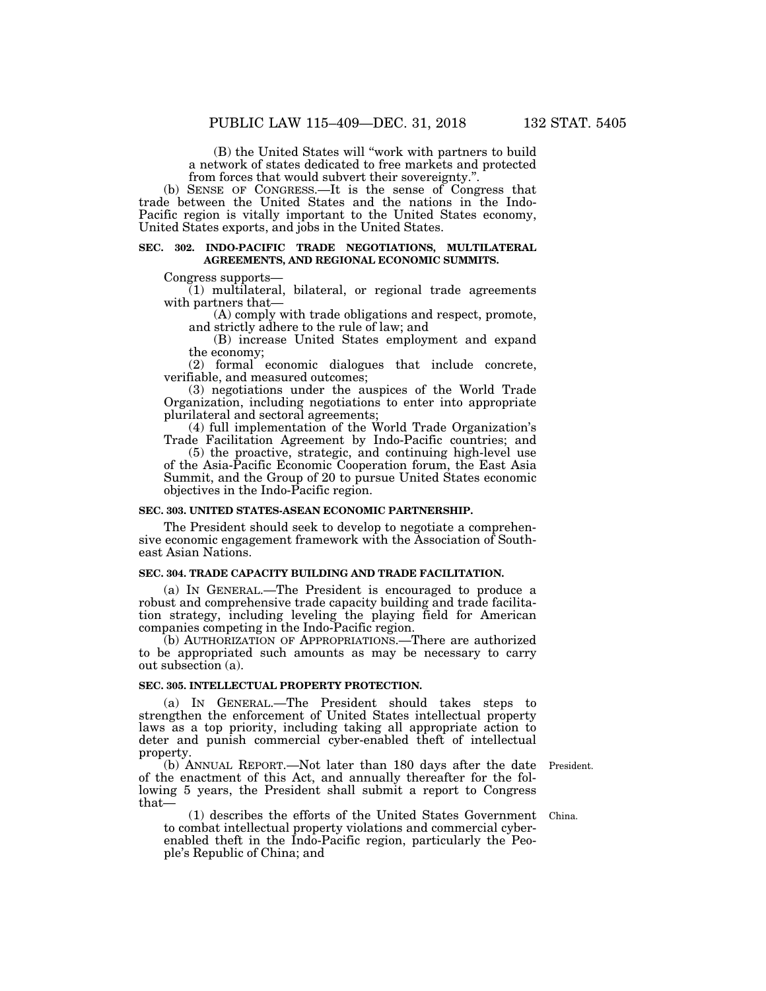(B) the United States will ''work with partners to build a network of states dedicated to free markets and protected from forces that would subvert their sovereignty.''.

(b) SENSE OF CONGRESS.—It is the sense of Congress that trade between the United States and the nations in the Indo-Pacific region is vitally important to the United States economy, United States exports, and jobs in the United States.

#### **SEC. 302. INDO-PACIFIC TRADE NEGOTIATIONS, MULTILATERAL AGREEMENTS, AND REGIONAL ECONOMIC SUMMITS.**

Congress supports—

(1) multilateral, bilateral, or regional trade agreements with partners that-

(A) comply with trade obligations and respect, promote, and strictly adhere to the rule of law; and

(B) increase United States employment and expand the economy;

(2) formal economic dialogues that include concrete, verifiable, and measured outcomes;

(3) negotiations under the auspices of the World Trade Organization, including negotiations to enter into appropriate plurilateral and sectoral agreements;

(4) full implementation of the World Trade Organization's Trade Facilitation Agreement by Indo-Pacific countries; and

(5) the proactive, strategic, and continuing high-level use of the Asia-Pacific Economic Cooperation forum, the East Asia Summit, and the Group of 20 to pursue United States economic objectives in the Indo-Pacific region.

#### **SEC. 303. UNITED STATES-ASEAN ECONOMIC PARTNERSHIP.**

The President should seek to develop to negotiate a comprehensive economic engagement framework with the Association of Southeast Asian Nations.

#### **SEC. 304. TRADE CAPACITY BUILDING AND TRADE FACILITATION.**

(a) IN GENERAL.—The President is encouraged to produce a robust and comprehensive trade capacity building and trade facilitation strategy, including leveling the playing field for American companies competing in the Indo-Pacific region.

(b) AUTHORIZATION OF APPROPRIATIONS.—There are authorized to be appropriated such amounts as may be necessary to carry out subsection (a).

#### **SEC. 305. INTELLECTUAL PROPERTY PROTECTION.**

(a) IN GENERAL.—The President should takes steps to strengthen the enforcement of United States intellectual property laws as a top priority, including taking all appropriate action to deter and punish commercial cyber-enabled theft of intellectual property.

(b) ANNUAL REPORT.—Not later than 180 days after the date of the enactment of this Act, and annually thereafter for the following 5 years, the President shall submit a report to Congress that—

President.

(1) describes the efforts of the United States Government China. to combat intellectual property violations and commercial cyberenabled theft in the Indo-Pacific region, particularly the People's Republic of China; and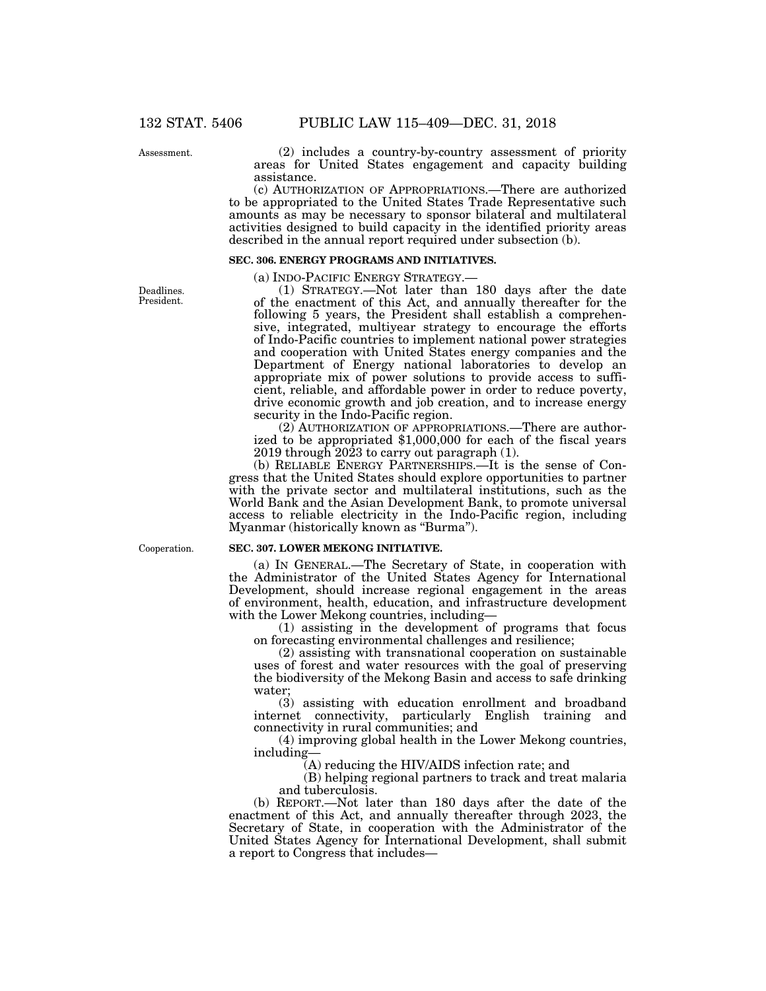Assessment.

Deadlines. President.

(2) includes a country-by-country assessment of priority areas for United States engagement and capacity building assistance.

(c) AUTHORIZATION OF APPROPRIATIONS.—There are authorized to be appropriated to the United States Trade Representative such amounts as may be necessary to sponsor bilateral and multilateral activities designed to build capacity in the identified priority areas described in the annual report required under subsection (b).

# **SEC. 306. ENERGY PROGRAMS AND INITIATIVES.**

(a) INDO-PACIFIC ENERGY STRATEGY.— (1) STRATEGY.—Not later than 180 days after the date of the enactment of this Act, and annually thereafter for the following 5 years, the President shall establish a comprehensive, integrated, multiyear strategy to encourage the efforts of Indo-Pacific countries to implement national power strategies and cooperation with United States energy companies and the Department of Energy national laboratories to develop an appropriate mix of power solutions to provide access to sufficient, reliable, and affordable power in order to reduce poverty, drive economic growth and job creation, and to increase energy security in the Indo-Pacific region.

(2) AUTHORIZATION OF APPROPRIATIONS.—There are authorized to be appropriated \$1,000,000 for each of the fiscal years 2019 through 2023 to carry out paragraph (1).

(b) RELIABLE ENERGY PARTNERSHIPS.—It is the sense of Congress that the United States should explore opportunities to partner with the private sector and multilateral institutions, such as the World Bank and the Asian Development Bank, to promote universal access to reliable electricity in the Indo-Pacific region, including Myanmar (historically known as ''Burma'').

Cooperation.

#### **SEC. 307. LOWER MEKONG INITIATIVE.**

(a) IN GENERAL.—The Secretary of State, in cooperation with the Administrator of the United States Agency for International Development, should increase regional engagement in the areas of environment, health, education, and infrastructure development with the Lower Mekong countries, including—

(1) assisting in the development of programs that focus on forecasting environmental challenges and resilience;

(2) assisting with transnational cooperation on sustainable uses of forest and water resources with the goal of preserving the biodiversity of the Mekong Basin and access to safe drinking water;

(3) assisting with education enrollment and broadband internet connectivity, particularly English training and connectivity in rural communities; and

(4) improving global health in the Lower Mekong countries, including—

(A) reducing the HIV/AIDS infection rate; and

(B) helping regional partners to track and treat malaria and tuberculosis.

(b) REPORT.—Not later than 180 days after the date of the enactment of this Act, and annually thereafter through 2023, the Secretary of State, in cooperation with the Administrator of the United States Agency for International Development, shall submit a report to Congress that includes—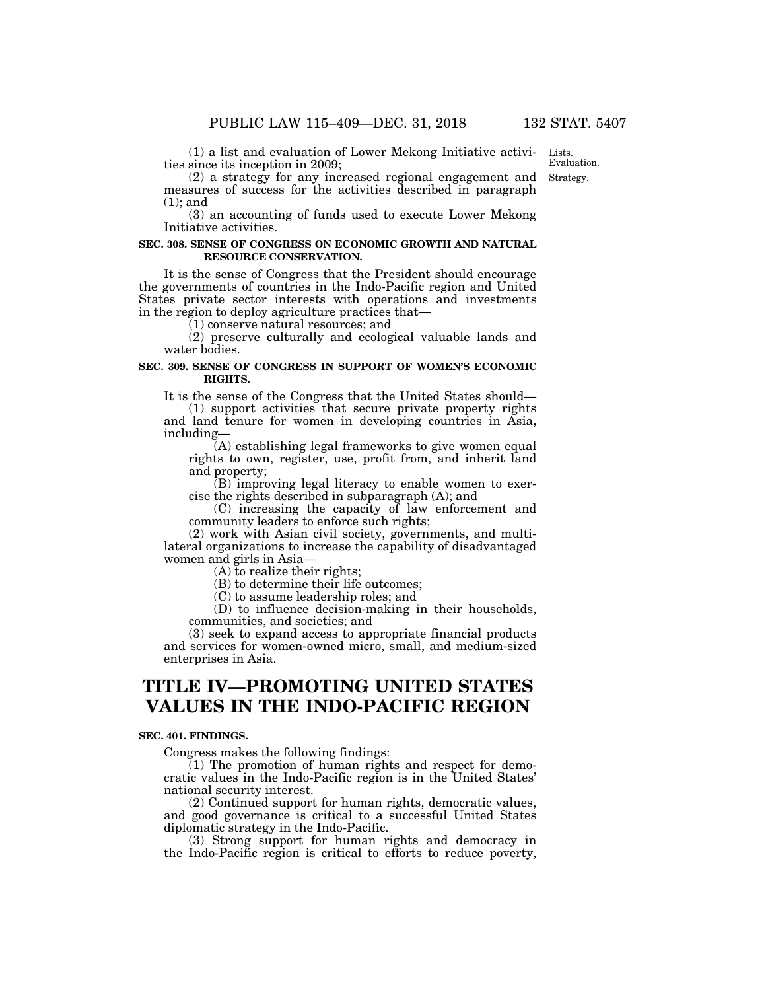(1) a list and evaluation of Lower Mekong Initiative activities since its inception in 2009;

Strategy. Lists. Evaluation.

(2) a strategy for any increased regional engagement and measures of success for the activities described in paragraph (1); and

(3) an accounting of funds used to execute Lower Mekong Initiative activities.

#### **SEC. 308. SENSE OF CONGRESS ON ECONOMIC GROWTH AND NATURAL RESOURCE CONSERVATION.**

It is the sense of Congress that the President should encourage the governments of countries in the Indo-Pacific region and United States private sector interests with operations and investments in the region to deploy agriculture practices that—

(1) conserve natural resources; and

(2) preserve culturally and ecological valuable lands and water bodies.

### **SEC. 309. SENSE OF CONGRESS IN SUPPORT OF WOMEN'S ECONOMIC RIGHTS.**

It is the sense of the Congress that the United States should—

(1) support activities that secure private property rights and land tenure for women in developing countries in Asia, including—

(A) establishing legal frameworks to give women equal rights to own, register, use, profit from, and inherit land and property;

 $(B)$  improving legal literacy to enable women to exercise the rights described in subparagraph (A); and

(C) increasing the capacity of law enforcement and community leaders to enforce such rights;

(2) work with Asian civil society, governments, and multilateral organizations to increase the capability of disadvantaged women and girls in Asia—

(A) to realize their rights;

(B) to determine their life outcomes;

(C) to assume leadership roles; and

(D) to influence decision-making in their households, communities, and societies; and

(3) seek to expand access to appropriate financial products and services for women-owned micro, small, and medium-sized enterprises in Asia.

# **TITLE IV—PROMOTING UNITED STATES VALUES IN THE INDO-PACIFIC REGION**

#### **SEC. 401. FINDINGS.**

Congress makes the following findings:

(1) The promotion of human rights and respect for democratic values in the Indo-Pacific region is in the United States' national security interest.

(2) Continued support for human rights, democratic values, and good governance is critical to a successful United States diplomatic strategy in the Indo-Pacific.

(3) Strong support for human rights and democracy in the Indo-Pacific region is critical to efforts to reduce poverty,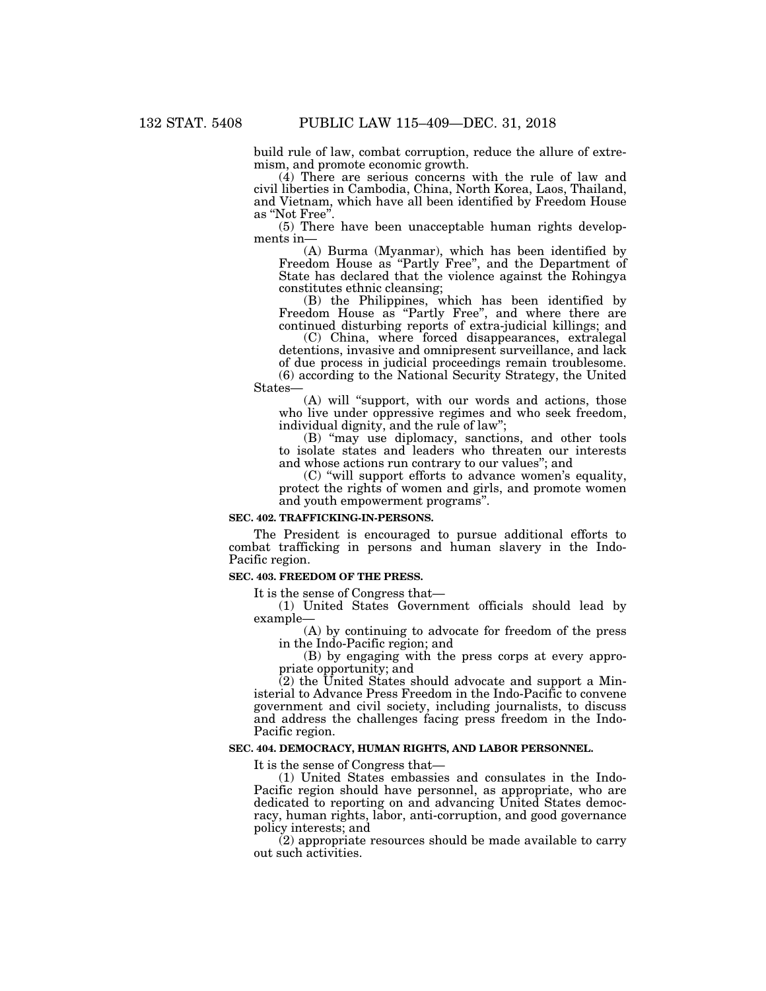build rule of law, combat corruption, reduce the allure of extremism, and promote economic growth.

(4) There are serious concerns with the rule of law and civil liberties in Cambodia, China, North Korea, Laos, Thailand, and Vietnam, which have all been identified by Freedom House as ''Not Free''.

(5) There have been unacceptable human rights developments in—

(A) Burma (Myanmar), which has been identified by Freedom House as ''Partly Free'', and the Department of State has declared that the violence against the Rohingya constitutes ethnic cleansing;

(B) the Philippines, which has been identified by Freedom House as ''Partly Free'', and where there are continued disturbing reports of extra-judicial killings; and

(C) China, where forced disappearances, extralegal detentions, invasive and omnipresent surveillance, and lack of due process in judicial proceedings remain troublesome. (6) according to the National Security Strategy, the United

States— (A) will ''support, with our words and actions, those

who live under oppressive regimes and who seek freedom, individual dignity, and the rule of law''; (B) ''may use diplomacy, sanctions, and other tools

to isolate states and leaders who threaten our interests and whose actions run contrary to our values''; and

(C) ''will support efforts to advance women's equality, protect the rights of women and girls, and promote women and youth empowerment programs''.

## **SEC. 402. TRAFFICKING-IN-PERSONS.**

The President is encouraged to pursue additional efforts to combat trafficking in persons and human slavery in the Indo-Pacific region.

# **SEC. 403. FREEDOM OF THE PRESS.**

It is the sense of Congress that—

(1) United States Government officials should lead by example—

(A) by continuing to advocate for freedom of the press in the Indo-Pacific region; and

(B) by engaging with the press corps at every appropriate opportunity; and

 $(2)$  the United States should advocate and support a Ministerial to Advance Press Freedom in the Indo-Pacific to convene government and civil society, including journalists, to discuss and address the challenges facing press freedom in the Indo-Pacific region.

#### **SEC. 404. DEMOCRACY, HUMAN RIGHTS, AND LABOR PERSONNEL.**

It is the sense of Congress that—

(1) United States embassies and consulates in the Indo-Pacific region should have personnel, as appropriate, who are dedicated to reporting on and advancing United States democracy, human rights, labor, anti-corruption, and good governance policy interests; and

(2) appropriate resources should be made available to carry out such activities.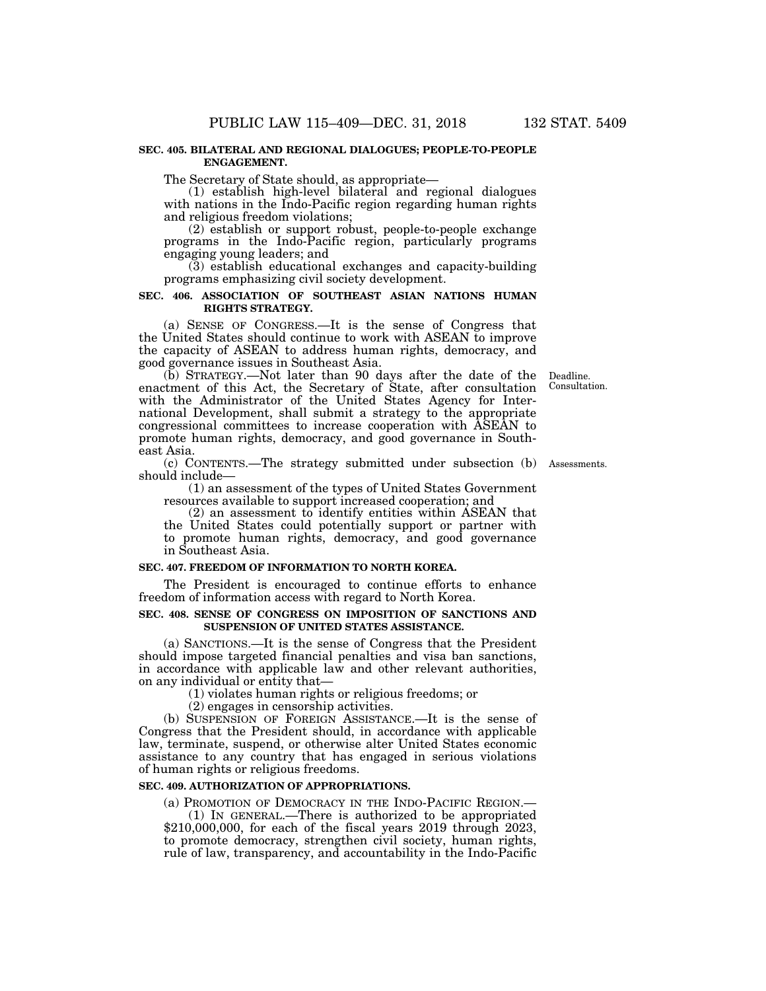### **SEC. 405. BILATERAL AND REGIONAL DIALOGUES; PEOPLE-TO-PEOPLE ENGAGEMENT.**

The Secretary of State should, as appropriate—

(1) establish high-level bilateral and regional dialogues with nations in the Indo-Pacific region regarding human rights and religious freedom violations;

(2) establish or support robust, people-to-people exchange programs in the Indo-Pacific region, particularly programs engaging young leaders; and

(3) establish educational exchanges and capacity-building programs emphasizing civil society development.

# **SEC. 406. ASSOCIATION OF SOUTHEAST ASIAN NATIONS HUMAN RIGHTS STRATEGY.**

(a) SENSE OF CONGRESS.—It is the sense of Congress that the United States should continue to work with ASEAN to improve the capacity of ASEAN to address human rights, democracy, and good governance issues in Southeast Asia.

> Deadline. Consultation.

(b) STRATEGY.—Not later than 90 days after the date of the enactment of this Act, the Secretary of State, after consultation with the Administrator of the United States Agency for International Development, shall submit a strategy to the appropriate congressional committees to increase cooperation with ASEAN to promote human rights, democracy, and good governance in Southeast Asia.

(c) CONTENTS.—The strategy submitted under subsection (b) Assessments. should include—

(1) an assessment of the types of United States Government resources available to support increased cooperation; and

(2) an assessment to identify entities within ASEAN that the United States could potentially support or partner with to promote human rights, democracy, and good governance in Southeast Asia.

#### **SEC. 407. FREEDOM OF INFORMATION TO NORTH KOREA.**

The President is encouraged to continue efforts to enhance freedom of information access with regard to North Korea.

## **SEC. 408. SENSE OF CONGRESS ON IMPOSITION OF SANCTIONS AND SUSPENSION OF UNITED STATES ASSISTANCE.**

(a) SANCTIONS.—It is the sense of Congress that the President should impose targeted financial penalties and visa ban sanctions, in accordance with applicable law and other relevant authorities, on any individual or entity that—

(1) violates human rights or religious freedoms; or

(2) engages in censorship activities.

(b) SUSPENSION OF FOREIGN ASSISTANCE.—It is the sense of Congress that the President should, in accordance with applicable law, terminate, suspend, or otherwise alter United States economic assistance to any country that has engaged in serious violations of human rights or religious freedoms.

## **SEC. 409. AUTHORIZATION OF APPROPRIATIONS.**

(a) PROMOTION OF DEMOCRACY IN THE INDO-PACIFIC REGION.—

(1) IN GENERAL.—There is authorized to be appropriated  $$210,000,000$ , for each of the fiscal years  $2019$  through  $2023$ , to promote democracy, strengthen civil society, human rights, rule of law, transparency, and accountability in the Indo-Pacific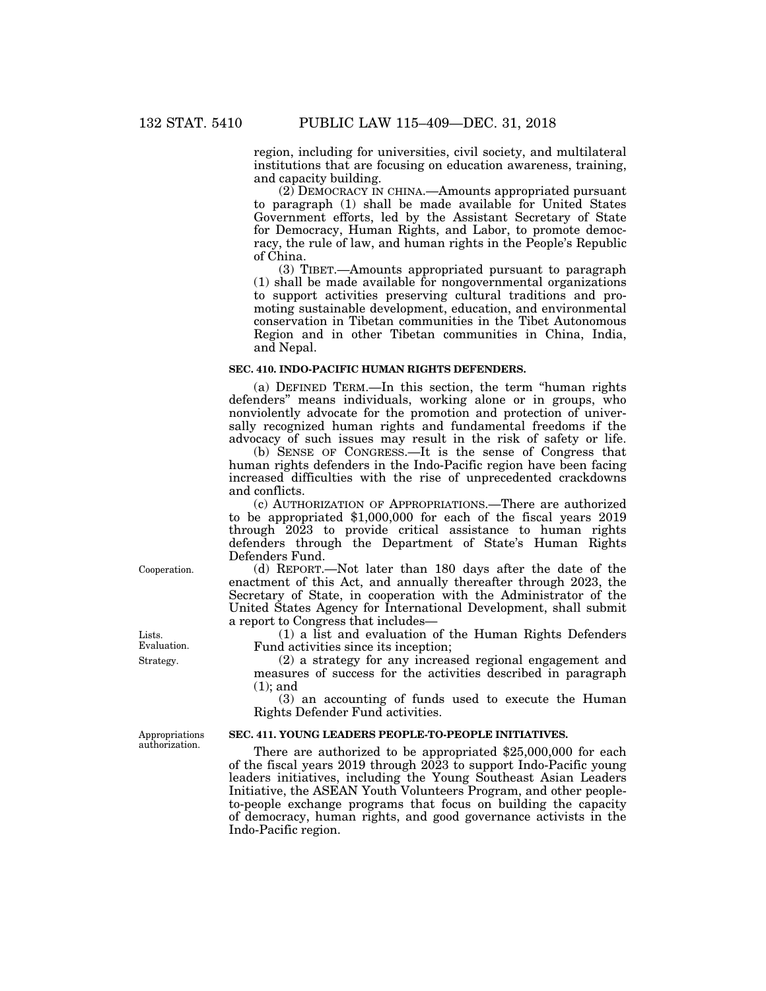region, including for universities, civil society, and multilateral institutions that are focusing on education awareness, training, and capacity building.

(2) DEMOCRACY IN CHINA.—Amounts appropriated pursuant to paragraph (1) shall be made available for United States Government efforts, led by the Assistant Secretary of State for Democracy, Human Rights, and Labor, to promote democracy, the rule of law, and human rights in the People's Republic of China.

(3) TIBET.—Amounts appropriated pursuant to paragraph  $(1)$  shall be made available for nongovernmental organizations to support activities preserving cultural traditions and promoting sustainable development, education, and environmental conservation in Tibetan communities in the Tibet Autonomous Region and in other Tibetan communities in China, India, and Nepal.

### **SEC. 410. INDO-PACIFIC HUMAN RIGHTS DEFENDERS.**

(a) DEFINED TERM.—In this section, the term ''human rights defenders'' means individuals, working alone or in groups, who nonviolently advocate for the promotion and protection of universally recognized human rights and fundamental freedoms if the advocacy of such issues may result in the risk of safety or life.

(b) SENSE OF CONGRESS.—It is the sense of Congress that human rights defenders in the Indo-Pacific region have been facing increased difficulties with the rise of unprecedented crackdowns and conflicts.

(c) AUTHORIZATION OF APPROPRIATIONS.—There are authorized to be appropriated \$1,000,000 for each of the fiscal years 2019 through 2023 to provide critical assistance to human rights defenders through the Department of State's Human Rights Defenders Fund.

(d) REPORT.—Not later than 180 days after the date of the enactment of this Act, and annually thereafter through 2023, the Secretary of State, in cooperation with the Administrator of the United States Agency for International Development, shall submit a report to Congress that includes—

(1) a list and evaluation of the Human Rights Defenders Fund activities since its inception;

(2) a strategy for any increased regional engagement and measures of success for the activities described in paragraph (1); and

(3) an accounting of funds used to execute the Human Rights Defender Fund activities.

# **SEC. 411. YOUNG LEADERS PEOPLE-TO-PEOPLE INITIATIVES.**

There are authorized to be appropriated \$25,000,000 for each of the fiscal years 2019 through  $20\overline{2}3$  to support Indo-Pacific young leaders initiatives, including the Young Southeast Asian Leaders Initiative, the ASEAN Youth Volunteers Program, and other peopleto-people exchange programs that focus on building the capacity of democracy, human rights, and good governance activists in the Indo-Pacific region.

Cooperation.

Strategy. Lists. Evaluation.

Appropriations authorization.